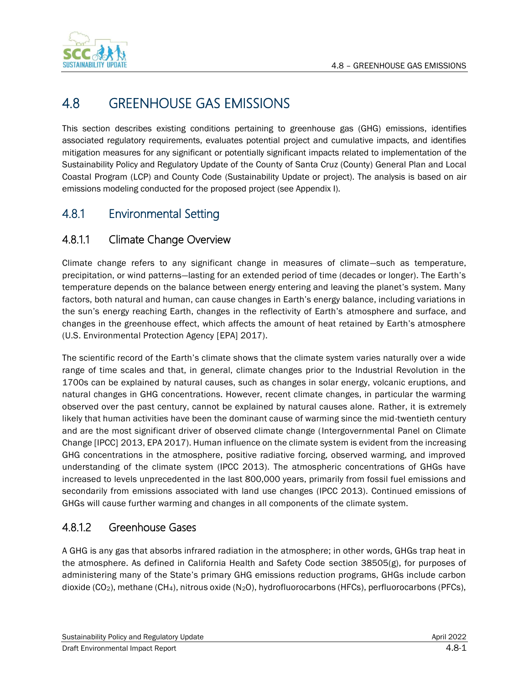



# 4.8 GREENHOUSE GAS EMISSIONS

This section describes existing conditions pertaining to greenhouse gas (GHG) emissions, identifies associated regulatory requirements, evaluates potential project and cumulative impacts, and identifies mitigation measures for any significant or potentially significant impacts related to implementation of the Sustainability Policy and Regulatory Update of the County of Santa Cruz (County) General Plan and Local Coastal Program (LCP) and County Code (Sustainability Update or project). The analysis is based on air emissions modeling conducted for the proposed project (see Appendix I).

# 4.8.1 Environmental Setting

# 4.8.1.1 Climate Change Overview

Climate change refers to any significant change in measures of climate—such as temperature, precipitation, or wind patterns—lasting for an extended period of time (decades or longer). The Earth's temperature depends on the balance between energy entering and leaving the planet's system. Many factors, both natural and human, can cause changes in Earth's energy balance, including variations in the sun's energy reaching Earth, changes in the reflectivity of Earth's atmosphere and surface, and changes in the greenhouse effect, which affects the amount of heat retained by Earth's atmosphere (U.S. Environmental Protection Agency [EPA] 2017).

The scientific record of the Earth's climate shows that the climate system varies naturally over a wide range of time scales and that, in general, climate changes prior to the Industrial Revolution in the 1700s can be explained by natural causes, such as changes in solar energy, volcanic eruptions, and natural changes in GHG concentrations. However, recent climate changes, in particular the warming observed over the past century, cannot be explained by natural causes alone. Rather, it is extremely likely that human activities have been the dominant cause of warming since the mid-twentieth century and are the most significant driver of observed climate change (Intergovernmental Panel on Climate Change [IPCC] 2013, EPA 2017). Human influence on the climate system is evident from the increasing GHG concentrations in the atmosphere, positive radiative forcing, observed warming, and improved understanding of the climate system (IPCC 2013). The atmospheric concentrations of GHGs have increased to levels unprecedented in the last 800,000 years, primarily from fossil fuel emissions and secondarily from emissions associated with land use changes (IPCC 2013). Continued emissions of GHGs will cause further warming and changes in all components of the climate system.

# 4.8.1.2 Greenhouse Gases

A GHG is any gas that absorbs infrared radiation in the atmosphere; in other words, GHGs trap heat in the atmosphere. As defined in California Health and Safety Code section 38505(g), for purposes of administering many of the State's primary GHG emissions reduction programs, GHGs include carbon dioxide (CO2), methane (CH4), nitrous oxide (N2O), hydrofluorocarbons (HFCs), perfluorocarbons (PFCs),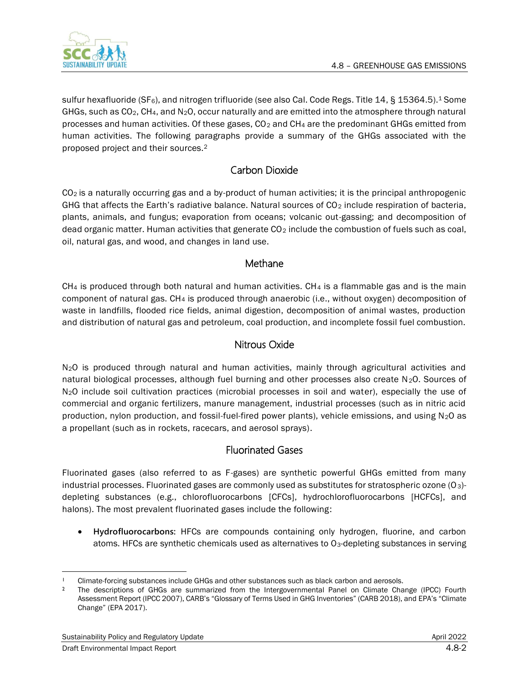

sulfur hexafluoride (SF<sub>6</sub>), and nitrogen trifluoride (see also Cal. Code Regs. Title 14, § 15364.5).<sup>1</sup> Some GHGs, such as  $CO<sub>2</sub>$ , CH<sub>4</sub>, and N<sub>2</sub>O, occur naturally and are emitted into the atmosphere through natural processes and human activities. Of these gases, CO<sup>2</sup> and CH<sup>4</sup> are the predominant GHGs emitted from human activities. The following paragraphs provide a summary of the GHGs associated with the proposed project and their sources.<sup>2</sup>

## Carbon Dioxide

CO2 is a naturally occurring gas and a by-product of human activities; it is the principal anthropogenic GHG that affects the Earth's radiative balance. Natural sources of  $CO<sub>2</sub>$  include respiration of bacteria, plants, animals, and fungus; evaporation from oceans; volcanic out-gassing; and decomposition of dead organic matter. Human activities that generate  $CO<sub>2</sub>$  include the combustion of fuels such as coal, oil, natural gas, and wood, and changes in land use.

## Methane

 $CH<sub>4</sub>$  is produced through both natural and human activities.  $CH<sub>4</sub>$  is a flammable gas and is the main component of natural gas. CH<sup>4</sup> is produced through anaerobic (i.e., without oxygen) decomposition of waste in landfills, flooded rice fields, animal digestion, decomposition of animal wastes, production and distribution of natural gas and petroleum, coal production, and incomplete fossil fuel combustion.

## Nitrous Oxide

N<sub>2</sub>O is produced through natural and human activities, mainly through agricultural activities and natural biological processes, although fuel burning and other processes also create  $N_2O$ . Sources of N2O include soil cultivation practices (microbial processes in soil and water), especially the use of commercial and organic fertilizers, manure management, industrial processes (such as in nitric acid production, nylon production, and fossil-fuel-fired power plants), vehicle emissions, and using  $N_2O$  as a propellant (such as in rockets, racecars, and aerosol sprays).

## Fluorinated Gases

Fluorinated gases (also referred to as F-gases) are synthetic powerful GHGs emitted from many industrial processes. Fluorinated gases are commonly used as substitutes for stratospheric ozone (O<sub>3</sub>)depleting substances (e.g., chlorofluorocarbons [CFCs], hydrochlorofluorocarbons [HCFCs], and halons). The most prevalent fluorinated gases include the following:

• **Hydrofluorocarbons:** HFCs are compounds containing only hydrogen, fluorine, and carbon atoms. HFCs are synthetic chemicals used as alternatives to O<sub>3</sub>-depleting substances in serving

<sup>1</sup> Climate-forcing substances include GHGs and other substances such as black carbon and aerosols.

<sup>2</sup> The descriptions of GHGs are summarized from the Intergovernmental Panel on Climate Change (IPCC) Fourth Assessment Report (IPCC 2007), CARB's "Glossary of Terms Used in GHG Inventories" (CARB 2018), and EPA's "Climate Change" (EPA 2017).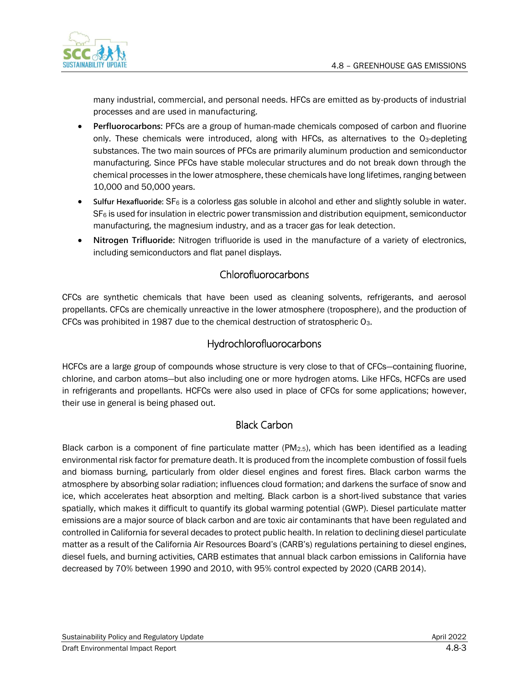

many industrial, commercial, and personal needs. HFCs are emitted as by-products of industrial processes and are used in manufacturing.

- **Perfluorocarbons:** PFCs are a group of human-made chemicals composed of carbon and fluorine only. These chemicals were introduced, along with HFCs, as alternatives to the O3-depleting substances. The two main sources of PFCs are primarily aluminum production and semiconductor manufacturing. Since PFCs have stable molecular structures and do not break down through the chemical processes in the lower atmosphere, these chemicals have long lifetimes, ranging between 10,000 and 50,000 years.
- **Sulfur Hexafluoride:** SF<sup>6</sup> is a colorless gas soluble in alcohol and ether and slightly soluble in water.  $SF<sub>6</sub>$  is used for insulation in electric power transmission and distribution equipment, semiconductor manufacturing, the magnesium industry, and as a tracer gas for leak detection.
- **Nitrogen Trifluoride:** Nitrogen trifluoride is used in the manufacture of a variety of electronics, including semiconductors and flat panel displays.

## Chlorofluorocarbons

CFCs are synthetic chemicals that have been used as cleaning solvents, refrigerants, and aerosol propellants. CFCs are chemically unreactive in the lower atmosphere (troposphere), and the production of CFCs was prohibited in 1987 due to the chemical destruction of stratospheric O3.

## Hydrochlorofluorocarbons

HCFCs are a large group of compounds whose structure is very close to that of CFCs—containing fluorine, chlorine, and carbon atoms—but also including one or more hydrogen atoms. Like HFCs, HCFCs are used in refrigerants and propellants. HCFCs were also used in place of CFCs for some applications; however, their use in general is being phased out.

## Black Carbon

Black carbon is a component of fine particulate matter (PM2.5), which has been identified as a leading environmental risk factor for premature death. It is produced from the incomplete combustion of fossil fuels and biomass burning, particularly from older diesel engines and forest fires. Black carbon warms the atmosphere by absorbing solar radiation; influences cloud formation; and darkens the surface of snow and ice, which accelerates heat absorption and melting. Black carbon is a short-lived substance that varies spatially, which makes it difficult to quantify its global warming potential (GWP). Diesel particulate matter emissions are a major source of black carbon and are toxic air contaminants that have been regulated and controlled in California for several decades to protect public health. In relation to declining diesel particulate matter as a result of the California Air Resources Board's (CARB's) regulations pertaining to diesel engines, diesel fuels, and burning activities, CARB estimates that annual black carbon emissions in California have decreased by 70% between 1990 and 2010, with 95% control expected by 2020 (CARB 2014).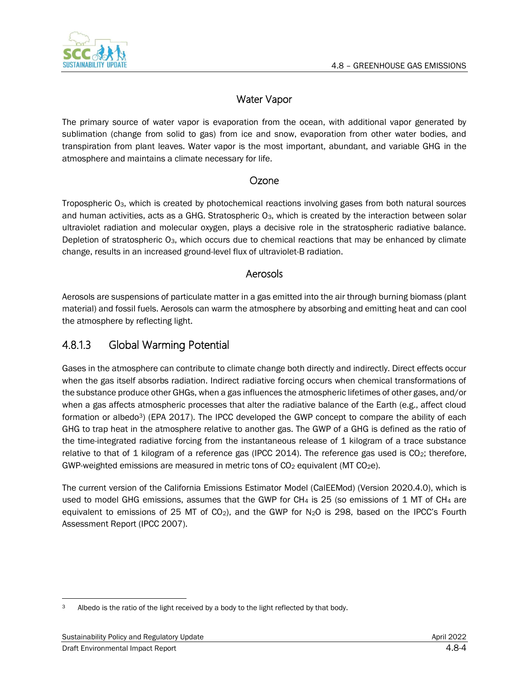

## Water Vapor

The primary source of water vapor is evaporation from the ocean, with additional vapor generated by sublimation (change from solid to gas) from ice and snow, evaporation from other water bodies, and transpiration from plant leaves. Water vapor is the most important, abundant, and variable GHG in the atmosphere and maintains a climate necessary for life.

## Ozone

Tropospheric O3, which is created by photochemical reactions involving gases from both natural sources and human activities, acts as a GHG. Stratospheric O<sub>3</sub>, which is created by the interaction between solar ultraviolet radiation and molecular oxygen, plays a decisive role in the stratospheric radiative balance. Depletion of stratospheric O<sub>3</sub>, which occurs due to chemical reactions that may be enhanced by climate change, results in an increased ground-level flux of ultraviolet-B radiation.

## Aerosols

Aerosols are suspensions of particulate matter in a gas emitted into the air through burning biomass (plant material) and fossil fuels. Aerosols can warm the atmosphere by absorbing and emitting heat and can cool the atmosphere by reflecting light.

# 4.8.1.3 Global Warming Potential

Gases in the atmosphere can contribute to climate change both directly and indirectly. Direct effects occur when the gas itself absorbs radiation. Indirect radiative forcing occurs when chemical transformations of the substance produce other GHGs, when a gas influences the atmospheric lifetimes of other gases, and/or when a gas affects atmospheric processes that alter the radiative balance of the Earth (e.g., affect cloud formation or albedo<sup>3</sup>) (EPA 2017). The IPCC developed the GWP concept to compare the ability of each GHG to trap heat in the atmosphere relative to another gas. The GWP of a GHG is defined as the ratio of the time-integrated radiative forcing from the instantaneous release of 1 kilogram of a trace substance relative to that of 1 kilogram of a reference gas (IPCC 2014). The reference gas used is CO<sub>2</sub>; therefore, GWP-weighted emissions are measured in metric tons of  $CO<sub>2</sub>$  equivalent (MT  $CO<sub>2</sub>e$ ).

The current version of the California Emissions Estimator Model (CalEEMod) (Version 2020.4.0), which is used to model GHG emissions, assumes that the GWP for CH<sub>4</sub> is 25 (so emissions of 1 MT of CH<sub>4</sub> are equivalent to emissions of 25 MT of CO<sub>2</sub>), and the GWP for N<sub>2</sub>O is 298, based on the IPCC's Fourth Assessment Report (IPCC 2007).

<sup>3</sup> Albedo is the ratio of the light received by a body to the light reflected by that body.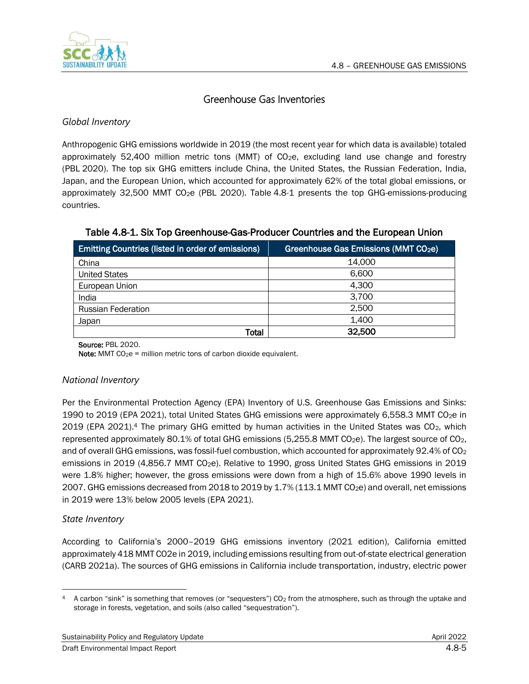

## Greenhouse Gas Inventories

### *Global Inventory*

Anthropogenic GHG emissions worldwide in 2019 (the most recent year for which data is available) totaled approximately 52,400 million metric tons (MMT) of CO2e, excluding land use change and forestry (PBL 2020). The top six GHG emitters include China, the United States, the Russian Federation, India, Japan, and the European Union, which accounted for approximately 62% of the total global emissions, or approximately 32,500 MMT CO2e (PBL 2020). [Table](#page-4-0) 4.8-1 presents the top GHG-emissions-producing countries.

| Emitting Countries (listed in order of emissions) | Greenhouse Gas Emissions (MMT CO2e) |
|---------------------------------------------------|-------------------------------------|
| China                                             | 14.000                              |
| <b>United States</b>                              | 6,600                               |
| European Union                                    | 4,300                               |
| India                                             | 3,700                               |
| <b>Russian Federation</b>                         | 2,500                               |
| Japan                                             | 1,400                               |
| Total                                             | 32,500                              |

#### <span id="page-4-0"></span>Table 4.8-1. Six Top Greenhouse-Gas-Producer Countries and the European Union

Source: PBL 2020.

**Note:** MMT  $CO<sub>2</sub>e$  = million metric tons of carbon dioxide equivalent.

### *National Inventory*

Per the Environmental Protection Agency (EPA) Inventory of U.S. Greenhouse Gas Emissions and Sinks: 1990 to 2019 (EPA 2021), total United States GHG emissions were approximately 6,558.3 MMT CO2e in 2019 (EPA 2021).<sup>4</sup> The primary GHG emitted by human activities in the United States was CO<sub>2</sub>, which represented approximately 80.1% of total GHG emissions (5,255.8 MMT CO<sub>2</sub>e). The largest source of CO<sub>2</sub>, and of overall GHG emissions, was fossil-fuel combustion, which accounted for approximately 92.4% of CO<sub>2</sub> emissions in 2019 (4,856.7 MMT CO<sub>2</sub>e). Relative to 1990, gross United States GHG emissions in 2019 were 1.8% higher; however, the gross emissions were down from a high of 15.6% above 1990 levels in 2007. GHG emissions decreased from 2018 to 2019 by 1.7% (113.1 MMT CO<sub>2</sub>e) and overall, net emissions in 2019 were 13% below 2005 levels (EPA 2021).

### *State Inventory*

According to California's 2000–2019 GHG emissions inventory (2021 edition), California emitted approximately 418 MMT CO2e in 2019, including emissions resulting from out-of-state electrical generation (CARB 2021a). The sources of GHG emissions in California include transportation, industry, electric power

<sup>4</sup> A carbon "sink" is something that removes (or "sequesters")  $CO<sub>2</sub>$  from the atmosphere, such as through the uptake and storage in forests, vegetation, and soils (also called "sequestration").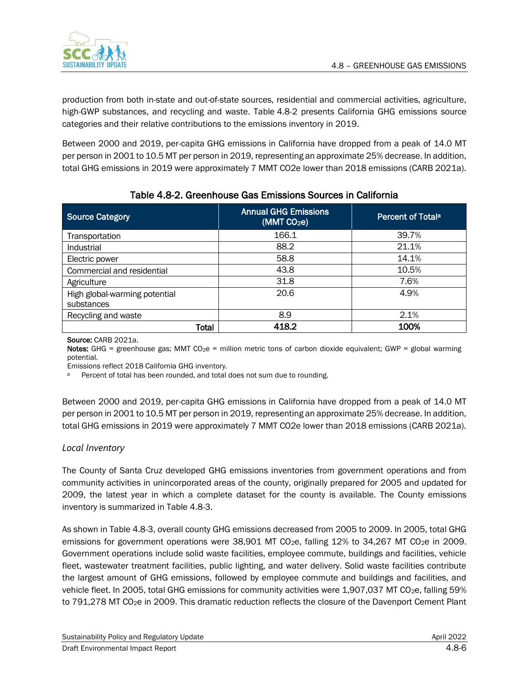

production from both in-state and out-of-state sources, residential and commercial activities, agriculture, high-GWP substances, and recycling and waste. [Table](#page-5-0) 4.8-2 presents California GHG emissions source categories and their relative contributions to the emissions inventory in 2019.

Between 2000 and 2019, per-capita GHG emissions in California have dropped from a peak of 14.0 MT per person in 2001 to 10.5 MT per person in 2019, representing an approximate 25% decrease. In addition, total GHG emissions in 2019 were approximately 7 MMT CO2e lower than 2018 emissions (CARB 2021a).

<span id="page-5-0"></span>

| <b>Source Category</b>                      | <b>Annual GHG Emissions</b><br>(MMT CO <sub>2</sub> e) | Percent of Total <sup>a</sup> |
|---------------------------------------------|--------------------------------------------------------|-------------------------------|
| Transportation                              | 166.1                                                  | 39.7%                         |
| Industrial                                  | 88.2                                                   | 21.1%                         |
| Electric power                              | 58.8                                                   | 14.1%                         |
| Commercial and residential                  | 43.8                                                   | 10.5%                         |
| Agriculture                                 | 31.8                                                   | 7.6%                          |
| High global-warming potential<br>substances | 20.6                                                   | 4.9%                          |
| Recycling and waste                         | 8.9                                                    | 2.1%                          |
| Total                                       | 418.2                                                  | 100%                          |

## Table 4.8-2. Greenhouse Gas Emissions Sources in California

Source: CARB 2021a.

Notes: GHG = greenhouse gas; MMT CO<sub>2</sub>e = million metric tons of carbon dioxide equivalent; GWP = global warming potential.

Emissions reflect 2018 California GHG inventory.

Percent of total has been rounded, and total does not sum due to rounding.

Between 2000 and 2019, per-capita GHG emissions in California have dropped from a peak of 14.0 MT per person in 2001 to 10.5 MT per person in 2019, representing an approximate 25% decrease. In addition, total GHG emissions in 2019 were approximately 7 MMT CO2e lower than 2018 emissions (CARB 2021a).

### *Local Inventory*

The County of Santa Cruz developed GHG emissions inventories from government operations and from community activities in unincorporated areas of the county, originally prepared for 2005 and updated for 2009, the latest year in which a complete dataset for the county is available. The County emissions inventory is summarized in Table 4.8-3.

As shown in Table 4.8-3, overall county GHG emissions decreased from 2005 to 2009. In 2005, total GHG emissions for government operations were 38,901 MT CO<sub>2</sub>e, falling 12% to 34,267 MT CO<sub>2</sub>e in 2009. Government operations include solid waste facilities, employee commute, buildings and facilities, vehicle fleet, wastewater treatment facilities, public lighting, and water delivery. Solid waste facilities contribute the largest amount of GHG emissions, followed by employee commute and buildings and facilities, and vehicle fleet. In 2005, total GHG emissions for community activities were 1,907,037 MT CO<sub>2</sub>e, falling 59% to 791,278 MT CO<sub>2</sub>e in 2009. This dramatic reduction reflects the closure of the Davenport Cement Plant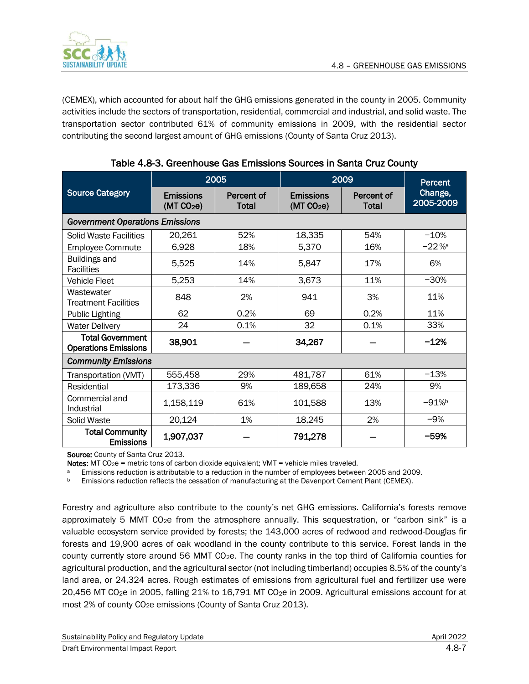

(CEMEX), which accounted for about half the GHG emissions generated in the county in 2005. Community activities include the sectors of transportation, residential, commercial and industrial, and solid waste. The transportation sector contributed 61% of community emissions in 2009, with the residential sector contributing the second largest amount of GHG emissions (County of Santa Cruz 2013).

|                                                        |                                            | 2005                | 2009                                       | <b>Percent</b>      |                      |
|--------------------------------------------------------|--------------------------------------------|---------------------|--------------------------------------------|---------------------|----------------------|
| <b>Source Category</b>                                 | <b>Emissions</b><br>(MT CO <sub>2</sub> e) | Percent of<br>Total | <b>Emissions</b><br>(MT CO <sub>2</sub> e) | Percent of<br>Total | Change,<br>2005-2009 |
| <b>Government Operations Emissions</b>                 |                                            |                     |                                            |                     |                      |
| <b>Solid Waste Facilities</b>                          | 20,261                                     | 52%                 | 18,335                                     | 54%                 | $-10%$               |
| <b>Employee Commute</b>                                | 6,928                                      | 18%                 | 5,370                                      | 16%                 | $-22%$               |
| <b>Buildings and</b><br><b>Facilities</b>              | 5,525                                      | 14%                 | 5,847                                      | 17%                 | 6%                   |
| <b>Vehicle Fleet</b>                                   | 5,253                                      | 14%                 | 3,673                                      | 11%                 | $-30%$               |
| Wastewater<br><b>Treatment Facilities</b>              | 848                                        | 2%                  | 941                                        | 3%                  | 11%                  |
| <b>Public Lighting</b>                                 | 62                                         | 0.2%                | 69                                         | 0.2%                | 11%                  |
| <b>Water Delivery</b>                                  | 24                                         | 0.1%                | 32                                         | 0.1%                | 33%                  |
| <b>Total Government</b><br><b>Operations Emissions</b> | 38,901                                     |                     | 34,267                                     |                     | $-12%$               |
| <b>Community Emissions</b>                             |                                            |                     |                                            |                     |                      |
| Transportation (VMT)                                   | 555,458                                    | 29%                 | 481,787                                    | 61%                 | $-13%$               |
| Residential                                            | 173,336                                    | 9%                  | 189,658                                    | 24%                 | 9%                   |
| Commercial and<br>Industrial                           | 1,158,119                                  | 61%                 | 101,588                                    | 13%                 | $-91%$               |
| Solid Waste                                            | 20,124                                     | 1%                  | 18,245                                     | 2%                  | $-9%$                |
| <b>Total Community</b><br><b>Emissions</b>             | 1,907,037                                  |                     | 791,278                                    |                     | $-59%$               |

| Table 4.8-3. Greenhouse Gas Emissions Sources in Santa Cruz County |  |  |  |  |
|--------------------------------------------------------------------|--|--|--|--|
|                                                                    |  |  |  |  |

Source: County of Santa Cruz 2013.

Notes: MT  $CQ_2e$  = metric tons of carbon dioxide equivalent; VMT = vehicle miles traveled.

<sup>a</sup> Emissions reduction is attributable to a reduction in the number of employees between 2005 and 2009.

**b** Emissions reduction reflects the cessation of manufacturing at the Davenport Cement Plant (CEMEX).

Forestry and agriculture also contribute to the county's net GHG emissions. California's forests remove approximately 5 MMT CO<sub>2</sub>e from the atmosphere annually. This sequestration, or "carbon sink" is a valuable ecosystem service provided by forests; the 143,000 acres of redwood and redwood-Douglas fir forests and 19,900 acres of oak woodland in the county contribute to this service. Forest lands in the county currently store around 56 MMT CO2e. The county ranks in the top third of California counties for agricultural production, and the agricultural sector (not including timberland) occupies 8.5% of the county's land area, or 24,324 acres. Rough estimates of emissions from agricultural fuel and fertilizer use were 20,456 MT CO2e in 2005, falling 21% to 16,791 MT CO2e in 2009. Agricultural emissions account for at most 2% of county CO<sub>2</sub>e emissions (County of Santa Cruz 2013).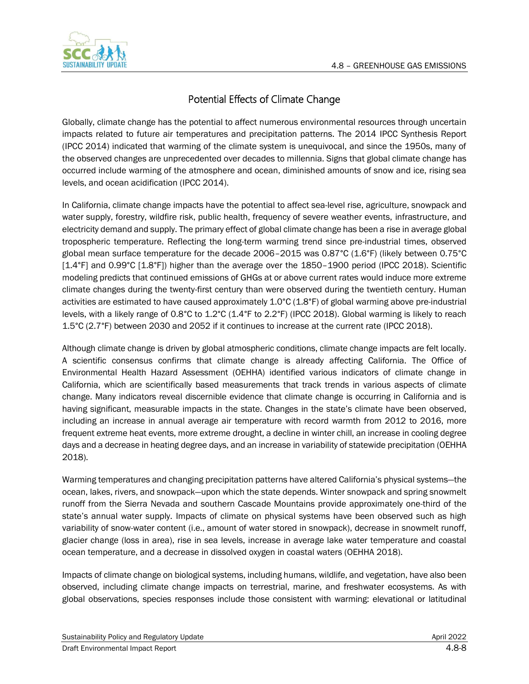

# Potential Effects of Climate Change

Globally, climate change has the potential to affect numerous environmental resources through uncertain impacts related to future air temperatures and precipitation patterns. The 2014 IPCC Synthesis Report (IPCC 2014) indicated that warming of the climate system is unequivocal, and since the 1950s, many of the observed changes are unprecedented over decades to millennia. Signs that global climate change has occurred include warming of the atmosphere and ocean, diminished amounts of snow and ice, rising sea levels, and ocean acidification (IPCC 2014).

In California, climate change impacts have the potential to affect sea-level rise, agriculture, snowpack and water supply, forestry, wildfire risk, public health, frequency of severe weather events, infrastructure, and electricity demand and supply. The primary effect of global climate change has been a rise in average global tropospheric temperature. Reflecting the long-term warming trend since pre-industrial times, observed global mean surface temperature for the decade 2006–2015 was 0.87°C (1.6°F) (likely between 0.75°C [1.4°F] and 0.99°C [1.8°F]) higher than the average over the 1850–1900 period (IPCC 2018). Scientific modeling predicts that continued emissions of GHGs at or above current rates would induce more extreme climate changes during the twenty-first century than were observed during the twentieth century. Human activities are estimated to have caused approximately 1.0°C (1.8°F) of global warming above pre-industrial levels, with a likely range of 0.8°C to 1.2°C (1.4°F to 2.2°F) (IPCC 2018). Global warming is likely to reach 1.5°C (2.7°F) between 2030 and 2052 if it continues to increase at the current rate (IPCC 2018).

Although climate change is driven by global atmospheric conditions, climate change impacts are felt locally. A scientific consensus confirms that climate change is already affecting California. The Office of Environmental Health Hazard Assessment (OEHHA) identified various indicators of climate change in California, which are scientifically based measurements that track trends in various aspects of climate change. Many indicators reveal discernible evidence that climate change is occurring in California and is having significant, measurable impacts in the state. Changes in the state's climate have been observed, including an increase in annual average air temperature with record warmth from 2012 to 2016, more frequent extreme heat events, more extreme drought, a decline in winter chill, an increase in cooling degree days and a decrease in heating degree days, and an increase in variability of statewide precipitation (OEHHA 2018).

Warming temperatures and changing precipitation patterns have altered California's physical systems—the ocean, lakes, rivers, and snowpack—upon which the state depends. Winter snowpack and spring snowmelt runoff from the Sierra Nevada and southern Cascade Mountains provide approximately one-third of the state's annual water supply. Impacts of climate on physical systems have been observed such as high variability of snow-water content (i.e., amount of water stored in snowpack), decrease in snowmelt runoff, glacier change (loss in area), rise in sea levels, increase in average lake water temperature and coastal ocean temperature, and a decrease in dissolved oxygen in coastal waters (OEHHA 2018).

Impacts of climate change on biological systems, including humans, wildlife, and vegetation, have also been observed, including climate change impacts on terrestrial, marine, and freshwater ecosystems. As with global observations, species responses include those consistent with warming: elevational or latitudinal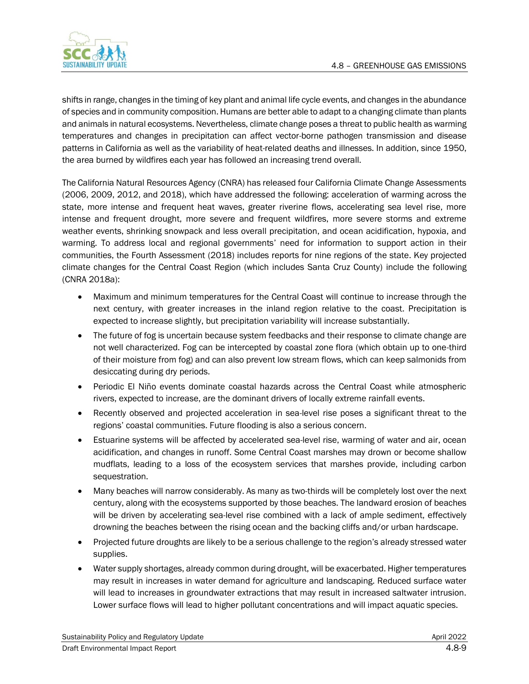

shifts in range, changes in the timing of key plant and animal life cycle events, and changes in the abundance of species and in community composition. Humans are better able to adapt to a changing climate than plants and animals in natural ecosystems. Nevertheless, climate change poses a threat to public health as warming temperatures and changes in precipitation can affect vector-borne pathogen transmission and disease patterns in California as well as the variability of heat-related deaths and illnesses. In addition, since 1950, the area burned by wildfires each year has followed an increasing trend overall.

The California Natural Resources Agency (CNRA) has released four California Climate Change Assessments (2006, 2009, 2012, and 2018), which have addressed the following: acceleration of warming across the state, more intense and frequent heat waves, greater riverine flows, accelerating sea level rise, more intense and frequent drought, more severe and frequent wildfires, more severe storms and extreme weather events, shrinking snowpack and less overall precipitation, and ocean acidification, hypoxia, and warming. To address local and regional governments' need for information to support action in their communities, the Fourth Assessment (2018) includes reports for nine regions of the state. Key projected climate changes for the Central Coast Region (which includes Santa Cruz County) include the following (CNRA 2018a):

- Maximum and minimum temperatures for the Central Coast will continue to increase through the next century, with greater increases in the inland region relative to the coast. Precipitation is expected to increase slightly, but precipitation variability will increase substantially.
- The future of fog is uncertain because system feedbacks and their response to climate change are not well characterized. Fog can be intercepted by coastal zone flora (which obtain up to one-third of their moisture from fog) and can also prevent low stream flows, which can keep salmonids from desiccating during dry periods.
- Periodic El Niño events dominate coastal hazards across the Central Coast while atmospheric rivers, expected to increase, are the dominant drivers of locally extreme rainfall events.
- Recently observed and projected acceleration in sea-level rise poses a significant threat to the regions' coastal communities. Future flooding is also a serious concern.
- Estuarine systems will be affected by accelerated sea-level rise, warming of water and air, ocean acidification, and changes in runoff. Some Central Coast marshes may drown or become shallow mudflats, leading to a loss of the ecosystem services that marshes provide, including carbon sequestration.
- Many beaches will narrow considerably. As many as two-thirds will be completely lost over the next century, along with the ecosystems supported by those beaches. The landward erosion of beaches will be driven by accelerating sea-level rise combined with a lack of ample sediment, effectively drowning the beaches between the rising ocean and the backing cliffs and/or urban hardscape.
- Projected future droughts are likely to be a serious challenge to the region's already stressed water supplies.
- Water supply shortages, already common during drought, will be exacerbated. Higher temperatures may result in increases in water demand for agriculture and landscaping. Reduced surface water will lead to increases in groundwater extractions that may result in increased saltwater intrusion. Lower surface flows will lead to higher pollutant concentrations and will impact aquatic species.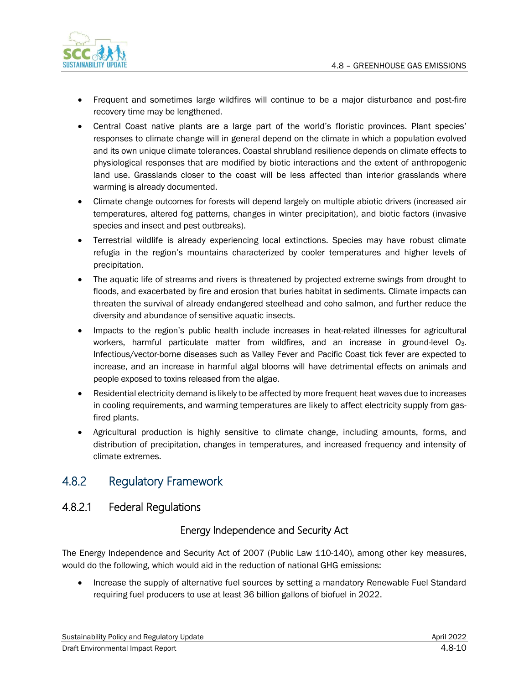

- Frequent and sometimes large wildfires will continue to be a major disturbance and post-fire recovery time may be lengthened.
- Central Coast native plants are a large part of the world's floristic provinces. Plant species' responses to climate change will in general depend on the climate in which a population evolved and its own unique climate tolerances. Coastal shrubland resilience depends on climate effects to physiological responses that are modified by biotic interactions and the extent of anthropogenic land use. Grasslands closer to the coast will be less affected than interior grasslands where warming is already documented.
- Climate change outcomes for forests will depend largely on multiple abiotic drivers (increased air temperatures, altered fog patterns, changes in winter precipitation), and biotic factors (invasive species and insect and pest outbreaks).
- Terrestrial wildlife is already experiencing local extinctions. Species may have robust climate refugia in the region's mountains characterized by cooler temperatures and higher levels of precipitation.
- The aquatic life of streams and rivers is threatened by projected extreme swings from drought to floods, and exacerbated by fire and erosion that buries habitat in sediments. Climate impacts can threaten the survival of already endangered steelhead and coho salmon, and further reduce the diversity and abundance of sensitive aquatic insects.
- Impacts to the region's public health include increases in heat-related illnesses for agricultural workers, harmful particulate matter from wildfires, and an increase in ground-level O3. Infectious/vector-borne diseases such as Valley Fever and Pacific Coast tick fever are expected to increase, and an increase in harmful algal blooms will have detrimental effects on animals and people exposed to toxins released from the algae.
- Residential electricity demand is likely to be affected by more frequent heat waves due to increases in cooling requirements, and warming temperatures are likely to affect electricity supply from gasfired plants.
- Agricultural production is highly sensitive to climate change, including amounts, forms, and distribution of precipitation, changes in temperatures, and increased frequency and intensity of climate extremes.

# 4.8.2 Regulatory Framework

# 4.8.2.1 Federal Regulations

## Energy Independence and Security Act

The Energy Independence and Security Act of 2007 (Public Law 110-140), among other key measures, would do the following, which would aid in the reduction of national GHG emissions:

• Increase the supply of alternative fuel sources by setting a mandatory Renewable Fuel Standard requiring fuel producers to use at least 36 billion gallons of biofuel in 2022.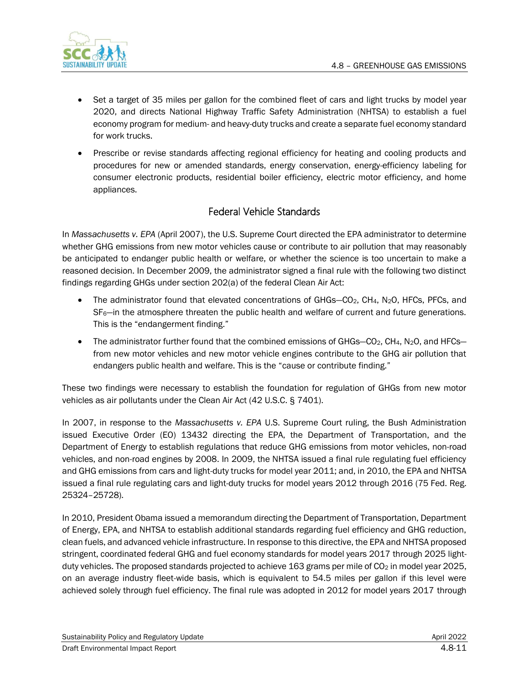

- Set a target of 35 miles per gallon for the combined fleet of cars and light trucks by model year 2020, and directs National Highway Traffic Safety Administration (NHTSA) to establish a fuel economy program for medium- and heavy-duty trucks and create a separate fuel economy standard for work trucks.
- Prescribe or revise standards affecting regional efficiency for heating and cooling products and procedures for new or amended standards, energy conservation, energy-efficiency labeling for consumer electronic products, residential boiler efficiency, electric motor efficiency, and home appliances.

## Federal Vehicle Standards

In *Massachusetts v. EPA* (April 2007), the U.S. Supreme Court directed the EPA administrator to determine whether GHG emissions from new motor vehicles cause or contribute to air pollution that may reasonably be anticipated to endanger public health or welfare, or whether the science is too uncertain to make a reasoned decision. In December 2009, the administrator signed a final rule with the following two distinct findings regarding GHGs under section 202(a) of the federal Clean Air Act:

- The administrator found that elevated concentrations of GHGs-CO<sub>2</sub>, CH<sub>4</sub>, N<sub>2</sub>O, HFCs, PFCs, and SF<sub>6</sub>—in the atmosphere threaten the public health and welfare of current and future generations. This is the "endangerment finding."
- The administrator further found that the combined emissions of GHGs- $CO<sub>2</sub>$ , CH<sub>4</sub>, N<sub>2</sub>O, and HFCsfrom new motor vehicles and new motor vehicle engines contribute to the GHG air pollution that endangers public health and welfare. This is the "cause or contribute finding."

These two findings were necessary to establish the foundation for regulation of GHGs from new motor vehicles as air pollutants under the Clean Air Act (42 U.S.C. § 7401).

In 2007, in response to the *Massachusetts v. EPA* U.S. Supreme Court ruling, the Bush Administration issued Executive Order (EO) 13432 directing the EPA, the Department of Transportation, and the Department of Energy to establish regulations that reduce GHG emissions from motor vehicles, non-road vehicles, and non-road engines by 2008. In 2009, the NHTSA issued a final rule regulating fuel efficiency and GHG emissions from cars and light-duty trucks for model year 2011; and, in 2010, the EPA and NHTSA issued a final rule regulating cars and light-duty trucks for model years 2012 through 2016 (75 Fed. Reg. 25324–25728).

In 2010, President Obama issued a memorandum directing the Department of Transportation, Department of Energy, EPA, and NHTSA to establish additional standards regarding fuel efficiency and GHG reduction, clean fuels, and advanced vehicle infrastructure. In response to this directive, the EPA and NHTSA proposed stringent, coordinated federal GHG and fuel economy standards for model years 2017 through 2025 lightduty vehicles. The proposed standards projected to achieve 163 grams per mile of  $CO<sub>2</sub>$  in model year 2025, on an average industry fleet-wide basis, which is equivalent to 54.5 miles per gallon if this level were achieved solely through fuel efficiency. The final rule was adopted in 2012 for model years 2017 through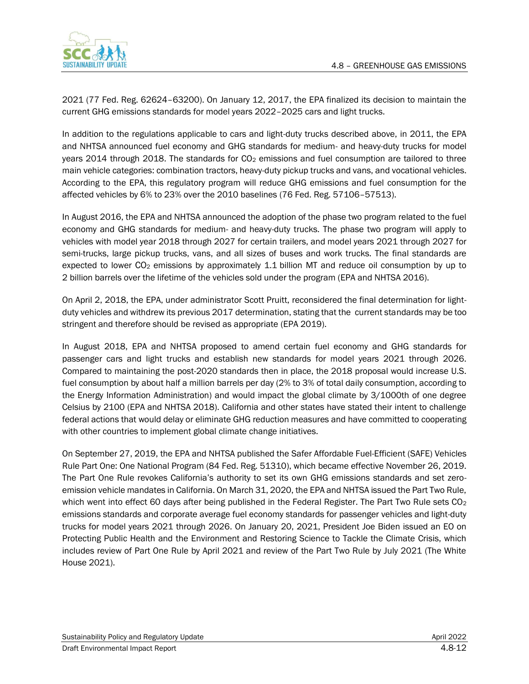

2021 (77 Fed. Reg. 62624–63200). On January 12, 2017, the EPA finalized its decision to maintain the current GHG emissions standards for model years 2022–2025 cars and light trucks.

In addition to the regulations applicable to cars and light-duty trucks described above, in 2011, the EPA and NHTSA announced fuel economy and GHG standards for medium- and heavy-duty trucks for model years 2014 through 2018. The standards for  $CO<sub>2</sub>$  emissions and fuel consumption are tailored to three main vehicle categories: combination tractors, heavy-duty pickup trucks and vans, and vocational vehicles. According to the EPA, this regulatory program will reduce GHG emissions and fuel consumption for the affected vehicles by 6% to 23% over the 2010 baselines (76 Fed. Reg. 57106–57513).

In August 2016, the EPA and NHTSA announced the adoption of the phase two program related to the fuel economy and GHG standards for medium- and heavy-duty trucks. The phase two program will apply to vehicles with model year 2018 through 2027 for certain trailers, and model years 2021 through 2027 for semi-trucks, large pickup trucks, vans, and all sizes of buses and work trucks. The final standards are expected to lower  $CO<sub>2</sub>$  emissions by approximately 1.1 billion MT and reduce oil consumption by up to 2 billion barrels over the lifetime of the vehicles sold under the program (EPA and NHTSA 2016).

On April 2, 2018, the EPA, under administrator Scott Pruitt, reconsidered the final determination for lightduty vehicles and withdrew its previous 2017 determination, stating that the current standards may be too stringent and therefore should be revised as appropriate (EPA 2019).

In August 2018, EPA and NHTSA proposed to amend certain fuel economy and GHG standards for passenger cars and light trucks and establish new standards for model years 2021 through 2026. Compared to maintaining the post-2020 standards then in place, the 2018 proposal would increase U.S. fuel consumption by about half a million barrels per day (2% to 3% of total daily consumption, according to the Energy Information Administration) and would impact the global climate by 3/1000th of one degree Celsius by 2100 (EPA and NHTSA 2018). California and other states have stated their intent to challenge federal actions that would delay or eliminate GHG reduction measures and have committed to cooperating with other countries to implement global climate change initiatives.

On September 27, 2019, the EPA and NHTSA published the Safer Affordable Fuel-Efficient (SAFE) Vehicles Rule Part One: One National Program (84 Fed. Reg. 51310), which became effective November 26, 2019. The Part One Rule revokes California's authority to set its own GHG emissions standards and set zeroemission vehicle mandates in California. On March 31, 2020, the EPA and NHTSA issued the Part Two Rule, which went into effect 60 days after being published in the Federal Register. The Part Two Rule sets CO<sub>2</sub> emissions standards and corporate average fuel economy standards for passenger vehicles and light-duty trucks for model years 2021 through 2026. On January 20, 2021, President Joe Biden issued an EO on Protecting Public Health and the Environment and Restoring Science to Tackle the Climate Crisis, which includes review of Part One Rule by April 2021 and review of the Part Two Rule by July 2021 (The White House 2021).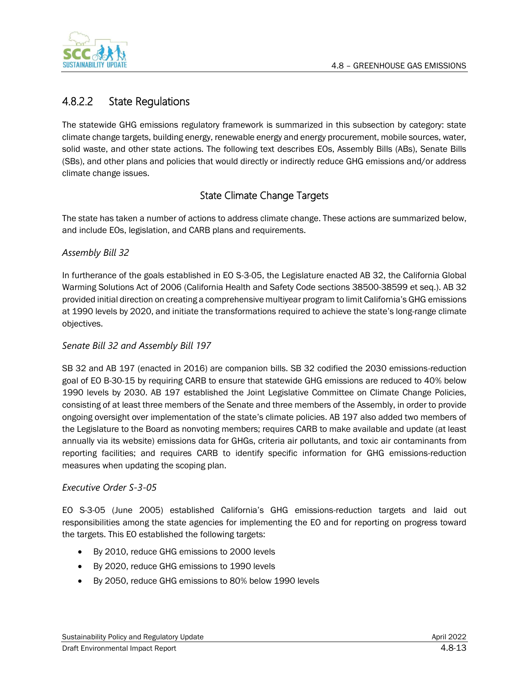

# 4.8.2.2 State Regulations

The statewide GHG emissions regulatory framework is summarized in this subsection by category: state climate change targets, building energy, renewable energy and energy procurement, mobile sources, water, solid waste, and other state actions. The following text describes EOs, Assembly Bills (ABs), Senate Bills (SBs), and other plans and policies that would directly or indirectly reduce GHG emissions and/or address climate change issues.

# State Climate Change Targets

The state has taken a number of actions to address climate change. These actions are summarized below, and include EOs, legislation, and CARB plans and requirements.

## *Assembly Bill 32*

In furtherance of the goals established in EO S-3-05, the Legislature enacted AB 32, the California Global Warming Solutions Act of 2006 (California Health and Safety Code sections 38500-38599 et seq.). AB 32 provided initial direction on creating a comprehensive multiyear program to limit California's GHG emissions at 1990 levels by 2020, and initiate the transformations required to achieve the state's long-range climate objectives.

### *Senate Bill 32 and Assembly Bill 197*

SB 32 and AB 197 (enacted in 2016) are companion bills. SB 32 codified the 2030 emissions-reduction goal of EO B-30-15 by requiring CARB to ensure that statewide GHG emissions are reduced to 40% below 1990 levels by 2030. AB 197 established the Joint Legislative Committee on Climate Change Policies, consisting of at least three members of the Senate and three members of the Assembly, in order to provide ongoing oversight over implementation of the state's climate policies. AB 197 also added two members of the Legislature to the Board as nonvoting members; requires CARB to make available and update (at least annually via its website) emissions data for GHGs, criteria air pollutants, and toxic air contaminants from reporting facilities; and requires CARB to identify specific information for GHG emissions-reduction measures when updating the scoping plan.

### *Executive Order S-3-05*

EO S-3-05 (June 2005) established California's GHG emissions-reduction targets and laid out responsibilities among the state agencies for implementing the EO and for reporting on progress toward the targets. This EO established the following targets:

- By 2010, reduce GHG emissions to 2000 levels
- By 2020, reduce GHG emissions to 1990 levels
- By 2050, reduce GHG emissions to 80% below 1990 levels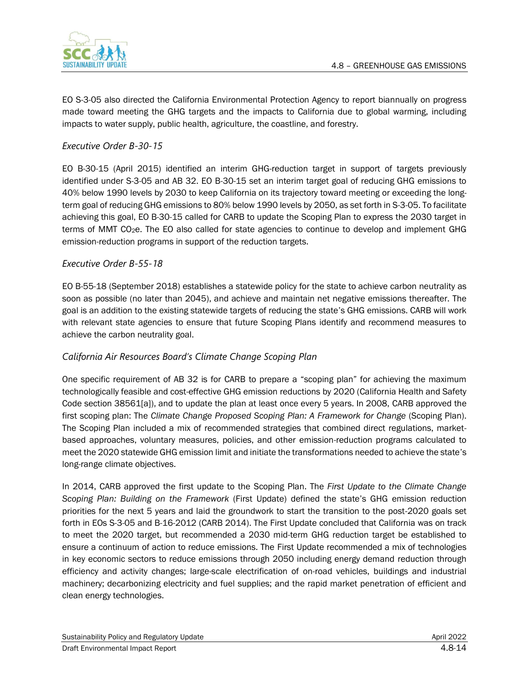

EO S-3-05 also directed the California Environmental Protection Agency to report biannually on progress made toward meeting the GHG targets and the impacts to California due to global warming, including impacts to water supply, public health, agriculture, the coastline, and forestry.

### *Executive Order B-30-15*

EO B-30-15 (April 2015) identified an interim GHG-reduction target in support of targets previously identified under S-3-05 and AB 32. EO B-30-15 set an interim target goal of reducing GHG emissions to 40% below 1990 levels by 2030 to keep California on its trajectory toward meeting or exceeding the longterm goal of reducing GHG emissions to 80% below 1990 levels by 2050, as set forth in S-3-05. To facilitate achieving this goal, EO B-30-15 called for CARB to update the Scoping Plan to express the 2030 target in terms of MMT CO2e. The EO also called for state agencies to continue to develop and implement GHG emission-reduction programs in support of the reduction targets.

#### *Executive Order B-55-18*

EO B-55-18 (September 2018) establishes a statewide policy for the state to achieve carbon neutrality as soon as possible (no later than 2045), and achieve and maintain net negative emissions thereafter. The goal is an addition to the existing statewide targets of reducing the state's GHG emissions. CARB will work with relevant state agencies to ensure that future Scoping Plans identify and recommend measures to achieve the carbon neutrality goal.

### *California Air Resources Board's Climate Change Scoping Plan*

One specific requirement of AB 32 is for CARB to prepare a "scoping plan" for achieving the maximum technologically feasible and cost-effective GHG emission reductions by 2020 (California Health and Safety Code section 38561[a]), and to update the plan at least once every 5 years. In 2008, CARB approved the first scoping plan: The *Climate Change Proposed Scoping Plan: A Framework for Change* (Scoping Plan). The Scoping Plan included a mix of recommended strategies that combined direct regulations, marketbased approaches, voluntary measures, policies, and other emission-reduction programs calculated to meet the 2020 statewide GHG emission limit and initiate the transformations needed to achieve the state's long-range climate objectives.

In 2014, CARB approved the first update to the Scoping Plan. The *First Update to the Climate Change Scoping Plan: Building on the Framework* (First Update) defined the state's GHG emission reduction priorities for the next 5 years and laid the groundwork to start the transition to the post-2020 goals set forth in EOs S-3-05 and B-16-2012 (CARB 2014). The First Update concluded that California was on track to meet the 2020 target, but recommended a 2030 mid-term GHG reduction target be established to ensure a continuum of action to reduce emissions. The First Update recommended a mix of technologies in key economic sectors to reduce emissions through 2050 including energy demand reduction through efficiency and activity changes; large-scale electrification of on-road vehicles, buildings and industrial machinery; decarbonizing electricity and fuel supplies; and the rapid market penetration of efficient and clean energy technologies.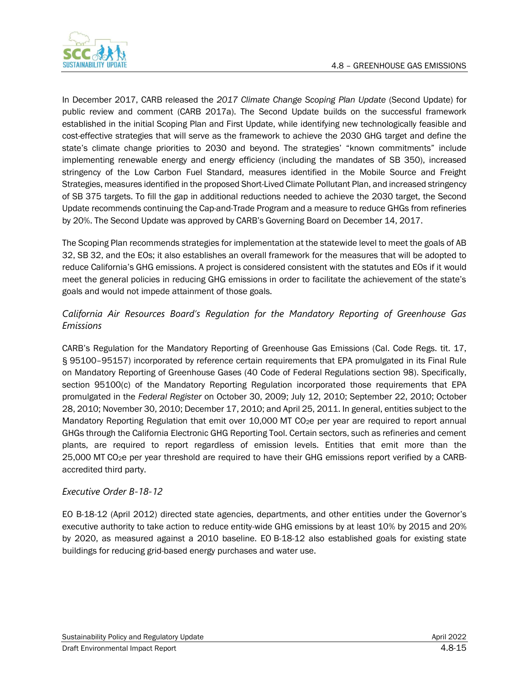

In December 2017, CARB released the *2017 Climate Change Scoping Plan Update* (Second Update) for public review and comment (CARB 2017a). The Second Update builds on the successful framework established in the initial Scoping Plan and First Update, while identifying new technologically feasible and cost-effective strategies that will serve as the framework to achieve the 2030 GHG target and define the state's climate change priorities to 2030 and beyond. The strategies' "known commitments" include implementing renewable energy and energy efficiency (including the mandates of SB 350), increased stringency of the Low Carbon Fuel Standard, measures identified in the Mobile Source and Freight Strategies, measures identified in the proposed Short-Lived Climate Pollutant Plan, and increased stringency of SB 375 targets. To fill the gap in additional reductions needed to achieve the 2030 target, the Second Update recommends continuing the Cap-and-Trade Program and a measure to reduce GHGs from refineries by 20%. The Second Update was approved by CARB's Governing Board on December 14, 2017.

The Scoping Plan recommends strategies for implementation at the statewide level to meet the goals of AB 32, SB 32, and the EOs; it also establishes an overall framework for the measures that will be adopted to reduce California's GHG emissions. A project is considered consistent with the statutes and EOs if it would meet the general policies in reducing GHG emissions in order to facilitate the achievement of the state's goals and would not impede attainment of those goals.

## *California Air Resources Board's Regulation for the Mandatory Reporting of Greenhouse Gas Emissions*

CARB's Regulation for the Mandatory Reporting of Greenhouse Gas Emissions (Cal. Code Regs. tit. 17, § 95100–95157) incorporated by reference certain requirements that EPA promulgated in its Final Rule on Mandatory Reporting of Greenhouse Gases (40 Code of Federal Regulations section 98). Specifically, section 95100(c) of the Mandatory Reporting Regulation incorporated those requirements that EPA promulgated in the *Federal Register* on October 30, 2009; July 12, 2010; September 22, 2010; October 28, 2010; November 30, 2010; December 17, 2010; and April 25, 2011. In general, entities subject to the Mandatory Reporting Regulation that emit over 10,000 MT CO<sub>2</sub>e per year are required to report annual GHGs through the California Electronic GHG Reporting Tool. Certain sectors, such as refineries and cement plants, are required to report regardless of emission levels. Entities that emit more than the 25,000 MT CO2e per year threshold are required to have their GHG emissions report verified by a CARBaccredited third party.

### *Executive Order B-18-12*

EO B-18-12 (April 2012) directed state agencies, departments, and other entities under the Governor's executive authority to take action to reduce entity-wide GHG emissions by at least 10% by 2015 and 20% by 2020, as measured against a 2010 baseline. EO B-18-12 also established goals for existing state buildings for reducing grid-based energy purchases and water use.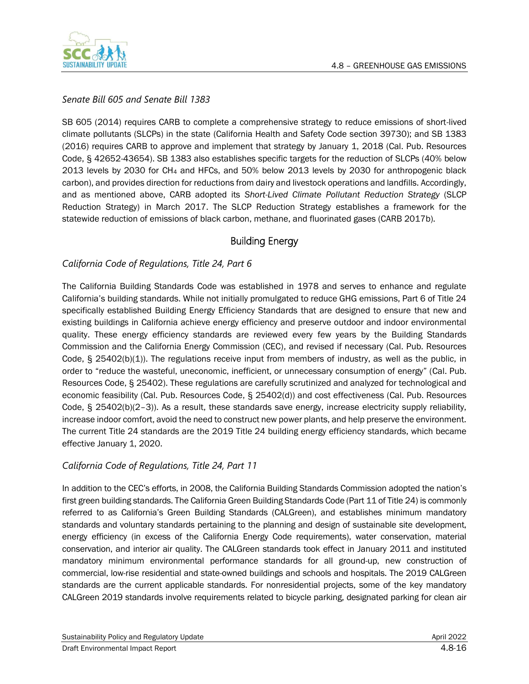

### *Senate Bill 605 and Senate Bill 1383*

SB 605 (2014) requires CARB to complete a comprehensive strategy to reduce emissions of short-lived climate pollutants (SLCPs) in the state (California Health and Safety Code section 39730); and SB 1383 (2016) requires CARB to approve and implement that strategy by January 1, 2018 (Cal. Pub. Resources Code, § 42652-43654). SB 1383 also establishes specific targets for the reduction of SLCPs (40% below 2013 levels by 2030 for CH<sup>4</sup> and HFCs, and 50% below 2013 levels by 2030 for anthropogenic black carbon), and provides direction for reductions from dairy and livestock operations and landfills. Accordingly, and as mentioned above, CARB adopted its *Short-Lived Climate Pollutant Reduction Strategy* (SLCP Reduction Strategy) in March 2017. The SLCP Reduction Strategy establishes a framework for the statewide reduction of emissions of black carbon, methane, and fluorinated gases (CARB 2017b).

## Building Energy

### *California Code of Regulations, Title 24, Part 6*

The California Building Standards Code was established in 1978 and serves to enhance and regulate California's building standards. While not initially promulgated to reduce GHG emissions, Part 6 of Title 24 specifically established Building Energy Efficiency Standards that are designed to ensure that new and existing buildings in California achieve energy efficiency and preserve outdoor and indoor environmental quality. These energy efficiency standards are reviewed every few years by the Building Standards Commission and the California Energy Commission (CEC), and revised if necessary (Cal. Pub. Resources Code, § 25402(b)(1)). The regulations receive input from members of industry, as well as the public, in order to "reduce the wasteful, uneconomic, inefficient, or unnecessary consumption of energy" (Cal. Pub. Resources Code, § 25402). These regulations are carefully scrutinized and analyzed for technological and economic feasibility (Cal. Pub. Resources Code, § 25402(d)) and cost effectiveness (Cal. Pub. Resources Code, § 25402(b)(2–3)). As a result, these standards save energy, increase electricity supply reliability, increase indoor comfort, avoid the need to construct new power plants, and help preserve the environment. The current Title 24 standards are the 2019 Title 24 building energy efficiency standards, which became effective January 1, 2020.

### *California Code of Regulations, Title 24, Part 11*

In addition to the CEC's efforts, in 2008, the California Building Standards Commission adopted the nation's first green building standards. The California Green Building Standards Code (Part 11 of Title 24) is commonly referred to as California's Green Building Standards (CALGreen), and establishes minimum mandatory standards and voluntary standards pertaining to the planning and design of sustainable site development, energy efficiency (in excess of the California Energy Code requirements), water conservation, material conservation, and interior air quality. The CALGreen standards took effect in January 2011 and instituted mandatory minimum environmental performance standards for all ground-up, new construction of commercial, low-rise residential and state-owned buildings and schools and hospitals. The 2019 CALGreen standards are the current applicable standards. For nonresidential projects, some of the key mandatory CALGreen 2019 standards involve requirements related to bicycle parking, designated parking for clean air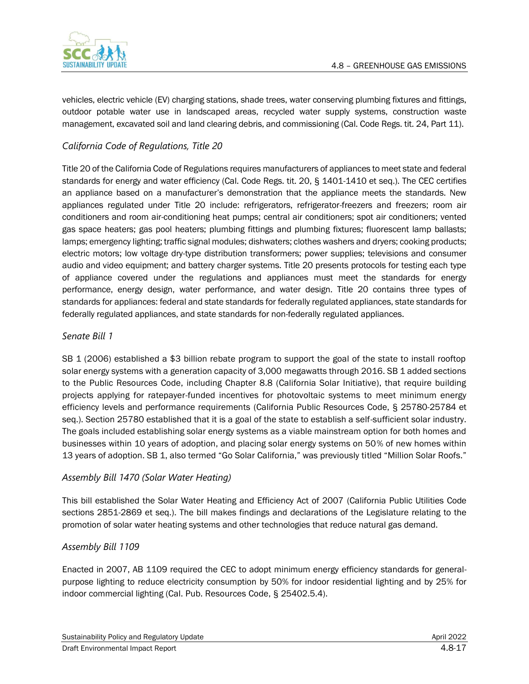

vehicles, electric vehicle (EV) charging stations, shade trees, water conserving plumbing fixtures and fittings, outdoor potable water use in landscaped areas, recycled water supply systems, construction waste management, excavated soil and land clearing debris, and commissioning (Cal. Code Regs. tit. 24, Part 11).

## *California Code of Regulations, Title 20*

Title 20 of the California Code of Regulations requires manufacturers of appliances to meet state and federal standards for energy and water efficiency (Cal. Code Regs. tit. 20, § 1401-1410 et seq.). The CEC certifies an appliance based on a manufacturer's demonstration that the appliance meets the standards. New appliances regulated under Title 20 include: refrigerators, refrigerator-freezers and freezers; room air conditioners and room air-conditioning heat pumps; central air conditioners; spot air conditioners; vented gas space heaters; gas pool heaters; plumbing fittings and plumbing fixtures; fluorescent lamp ballasts; lamps; emergency lighting; traffic signal modules; dishwaters; clothes washers and dryers; cooking products; electric motors; low voltage dry-type distribution transformers; power supplies; televisions and consumer audio and video equipment; and battery charger systems. Title 20 presents protocols for testing each type of appliance covered under the regulations and appliances must meet the standards for energy performance, energy design, water performance, and water design. Title 20 contains three types of standards for appliances: federal and state standards for federally regulated appliances, state standards for federally regulated appliances, and state standards for non-federally regulated appliances.

#### *Senate Bill 1*

SB 1 (2006) established a \$3 billion rebate program to support the goal of the state to install rooftop solar energy systems with a generation capacity of 3,000 megawatts through 2016. SB 1 added sections to the Public Resources Code, including Chapter 8.8 (California Solar Initiative), that require building projects applying for ratepayer-funded incentives for photovoltaic systems to meet minimum energy efficiency levels and performance requirements (California Public Resources Code, § 25780-25784 et seq.). Section 25780 established that it is a goal of the state to establish a self-sufficient solar industry. The goals included establishing solar energy systems as a viable mainstream option for both homes and businesses within 10 years of adoption, and placing solar energy systems on 50% of new homes within 13 years of adoption. SB 1, also termed "Go Solar California," was previously titled "Million Solar Roofs."

### *Assembly Bill 1470 (Solar Water Heating)*

This bill established the Solar Water Heating and Efficiency Act of 2007 (California Public Utilities Code sections 2851-2869 et seq.). The bill makes findings and declarations of the Legislature relating to the promotion of solar water heating systems and other technologies that reduce natural gas demand.

### *Assembly Bill 1109*

Enacted in 2007, AB 1109 required the CEC to adopt minimum energy efficiency standards for generalpurpose lighting to reduce electricity consumption by 50% for indoor residential lighting and by 25% for indoor commercial lighting (Cal. Pub. Resources Code, § 25402.5.4).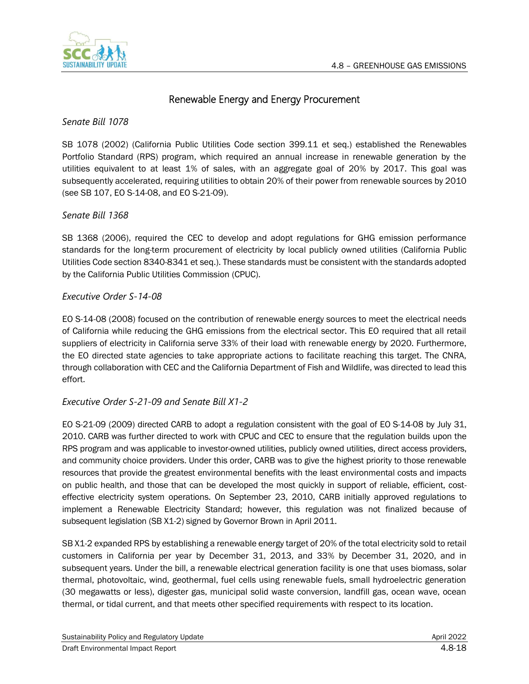

## Renewable Energy and Energy Procurement

*Senate Bill 1078*

SB 1078 (2002) (California Public Utilities Code section 399.11 et seq.) established the Renewables Portfolio Standard (RPS) program, which required an annual increase in renewable generation by the utilities equivalent to at least 1% of sales, with an aggregate goal of 20% by 2017. This goal was subsequently accelerated, requiring utilities to obtain 20% of their power from renewable sources by 2010 (see SB 107, EO S-14-08, and EO S-21-09).

#### *Senate Bill 1368*

SB 1368 (2006), required the CEC to develop and adopt regulations for GHG emission performance standards for the long-term procurement of electricity by local publicly owned utilities (California Public Utilities Code section 8340-8341 et seq.). These standards must be consistent with the standards adopted by the California Public Utilities Commission (CPUC).

### *Executive Order S-14-08*

EO S-14-08 (2008) focused on the contribution of renewable energy sources to meet the electrical needs of California while reducing the GHG emissions from the electrical sector. This EO required that all retail suppliers of electricity in California serve 33% of their load with renewable energy by 2020. Furthermore, the EO directed state agencies to take appropriate actions to facilitate reaching this target. The CNRA, through collaboration with CEC and the California Department of Fish and Wildlife, was directed to lead this effort.

### *Executive Order S-21-09 and Senate Bill X1-2*

EO S-21-09 (2009) directed CARB to adopt a regulation consistent with the goal of EO S-14-08 by July 31, 2010. CARB was further directed to work with CPUC and CEC to ensure that the regulation builds upon the RPS program and was applicable to investor-owned utilities, publicly owned utilities, direct access providers, and community choice providers. Under this order, CARB was to give the highest priority to those renewable resources that provide the greatest environmental benefits with the least environmental costs and impacts on public health, and those that can be developed the most quickly in support of reliable, efficient, costeffective electricity system operations. On September 23, 2010, CARB initially approved regulations to implement a Renewable Electricity Standard; however, this regulation was not finalized because of subsequent legislation (SB X1-2) signed by Governor Brown in April 2011.

SB X1-2 expanded RPS by establishing a renewable energy target of 20% of the total electricity sold to retail customers in California per year by December 31, 2013, and 33% by December 31, 2020, and in subsequent years. Under the bill, a renewable electrical generation facility is one that uses biomass, solar thermal, photovoltaic, wind, geothermal, fuel cells using renewable fuels, small hydroelectric generation (30 megawatts or less), digester gas, municipal solid waste conversion, landfill gas, ocean wave, ocean thermal, or tidal current, and that meets other specified requirements with respect to its location.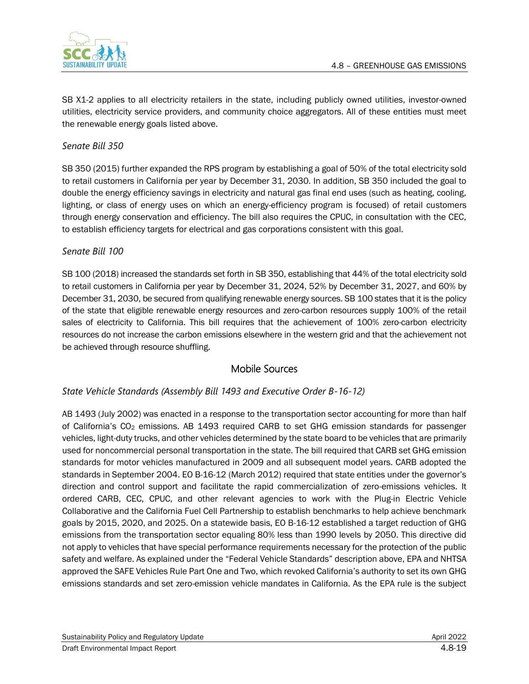

SB X1-2 applies to all electricity retailers in the state, including publicly owned utilities, investor-owned utilities, electricity service providers, and community choice aggregators. All of these entities must meet the renewable energy goals listed above.

#### *Senate Bill 350*

SB 350 (2015) further expanded the RPS program by establishing a goal of 50% of the total electricity sold to retail customers in California per year by December 31, 2030. In addition, SB 350 included the goal to double the energy efficiency savings in electricity and natural gas final end uses (such as heating, cooling, lighting, or class of energy uses on which an energy-efficiency program is focused) of retail customers through energy conservation and efficiency. The bill also requires the CPUC, in consultation with the CEC, to establish efficiency targets for electrical and gas corporations consistent with this goal.

### *Senate Bill 100*

SB 100 (2018) increased the standards set forth in SB 350, establishing that 44% of the total electricity sold to retail customers in California per year by December 31, 2024, 52% by December 31, 2027, and 60% by December 31, 2030, be secured from qualifying renewable energy sources. SB 100 states that it is the policy of the state that eligible renewable energy resources and zero-carbon resources supply 100% of the retail sales of electricity to California. This bill requires that the achievement of 100% zero-carbon electricity resources do not increase the carbon emissions elsewhere in the western grid and that the achievement not be achieved through resource shuffling.

## Mobile Sources

### *State Vehicle Standards (Assembly Bill 1493 and Executive Order B-16-12)*

AB 1493 (July 2002) was enacted in a response to the transportation sector accounting for more than half of California's  $CO<sub>2</sub>$  emissions. AB 1493 required CARB to set GHG emission standards for passenger vehicles, light-duty trucks, and other vehicles determined by the state board to be vehicles that are primarily used for noncommercial personal transportation in the state. The bill required that CARB set GHG emission standards for motor vehicles manufactured in 2009 and all subsequent model years. CARB adopted the standards in September 2004. EO B-16-12 (March 2012) required that state entities under the governor's direction and control support and facilitate the rapid commercialization of zero-emissions vehicles. It ordered CARB, CEC, CPUC, and other relevant agencies to work with the Plug-in Electric Vehicle Collaborative and the California Fuel Cell Partnership to establish benchmarks to help achieve benchmark goals by 2015, 2020, and 2025. On a statewide basis, EO B-16-12 established a target reduction of GHG emissions from the transportation sector equaling 80% less than 1990 levels by 2050. This directive did not apply to vehicles that have special performance requirements necessary for the protection of the public safety and welfare. As explained under the "Federal Vehicle Standards" description above, EPA and NHTSA approved the SAFE Vehicles Rule Part One and Two, which revoked California's authority to set its own GHG emissions standards and set zero-emission vehicle mandates in California. As the EPA rule is the subject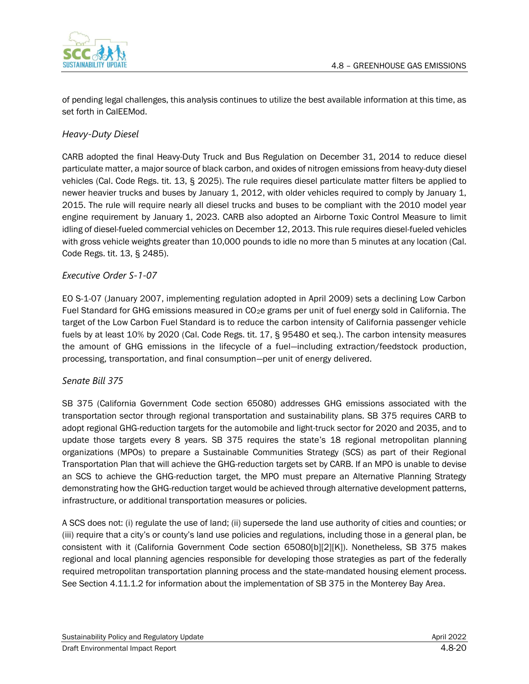

of pending legal challenges, this analysis continues to utilize the best available information at this time, as set forth in CalEEMod.

## *Heavy-Duty Diesel*

CARB adopted the final Heavy-Duty Truck and Bus Regulation on December 31, 2014 to reduce diesel particulate matter, a major source of black carbon, and oxides of nitrogen emissions from heavy-duty diesel vehicles (Cal. Code Regs. tit. 13, § 2025). The rule requires diesel particulate matter filters be applied to newer heavier trucks and buses by January 1, 2012, with older vehicles required to comply by January 1, 2015. The rule will require nearly all diesel trucks and buses to be compliant with the 2010 model year engine requirement by January 1, 2023. CARB also adopted an Airborne Toxic Control Measure to limit idling of diesel-fueled commercial vehicles on December 12, 2013. This rule requires diesel-fueled vehicles with gross vehicle weights greater than 10,000 pounds to idle no more than 5 minutes at any location (Cal. Code Regs. tit. 13, § 2485).

## *Executive Order S-1-07*

EO S-1-07 (January 2007, implementing regulation adopted in April 2009) sets a declining Low Carbon Fuel Standard for GHG emissions measured in CO<sub>2</sub>e grams per unit of fuel energy sold in California. The target of the Low Carbon Fuel Standard is to reduce the carbon intensity of California passenger vehicle fuels by at least 10% by 2020 (Cal. Code Regs. tit. 17, § 95480 et seq.). The carbon intensity measures the amount of GHG emissions in the lifecycle of a fuel—including extraction/feedstock production, processing, transportation, and final consumption—per unit of energy delivered.

### *Senate Bill 375*

SB 375 (California Government Code section 65080) addresses GHG emissions associated with the transportation sector through regional transportation and sustainability plans. SB 375 requires CARB to adopt regional GHG-reduction targets for the automobile and light-truck sector for 2020 and 2035, and to update those targets every 8 years. SB 375 requires the state's 18 regional metropolitan planning organizations (MPOs) to prepare a Sustainable Communities Strategy (SCS) as part of their Regional Transportation Plan that will achieve the GHG-reduction targets set by CARB. If an MPO is unable to devise an SCS to achieve the GHG-reduction target, the MPO must prepare an Alternative Planning Strategy demonstrating how the GHG-reduction target would be achieved through alternative development patterns, infrastructure, or additional transportation measures or policies.

A SCS does not: (i) regulate the use of land; (ii) supersede the land use authority of cities and counties; or (iii) require that a city's or county's land use policies and regulations, including those in a general plan, be consistent with it (California Government Code section 65080[b][2][K]). Nonetheless, SB 375 makes regional and local planning agencies responsible for developing those strategies as part of the federally required metropolitan transportation planning process and the state-mandated housing element process. See Section 4.11.1.2 for information about the implementation of SB 375 in the Monterey Bay Area.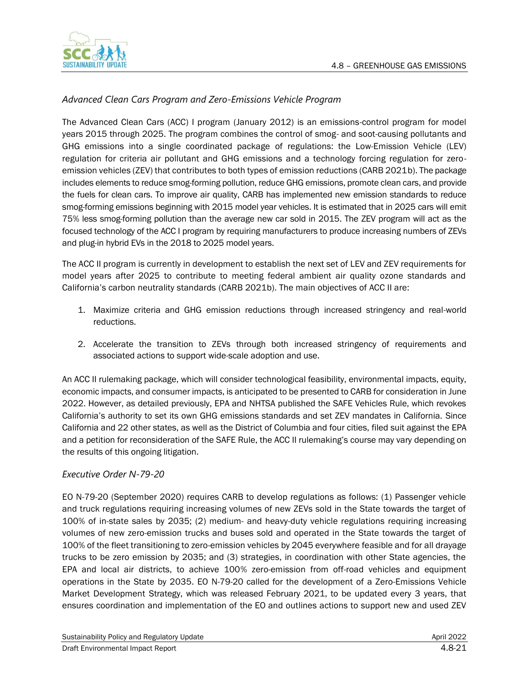

## *Advanced Clean Cars Program and Zero-Emissions Vehicle Program*

The Advanced Clean Cars (ACC) I program (January 2012) is an emissions-control program for model years 2015 through 2025. The program combines the control of smog- and soot-causing pollutants and GHG emissions into a single coordinated package of regulations: the Low-Emission Vehicle (LEV) regulation for criteria air pollutant and GHG emissions and a technology forcing regulation for zeroemission vehicles (ZEV) that contributes to both types of emission reductions (CARB 2021b). The package includes elements to reduce smog-forming pollution, reduce GHG emissions, promote clean cars, and provide the fuels for clean cars. To improve air quality, CARB has implemented new emission standards to reduce smog-forming emissions beginning with 2015 model year vehicles. It is estimated that in 2025 cars will emit 75% less smog-forming pollution than the average new car sold in 2015. The ZEV program will act as the focused technology of the ACC I program by requiring manufacturers to produce increasing numbers of ZEVs and plug-in hybrid EVs in the 2018 to 2025 model years.

The ACC II program is currently in development to establish the next set of LEV and ZEV requirements for model years after 2025 to contribute to meeting federal ambient air quality ozone standards and California's carbon neutrality standards (CARB 2021b). The main objectives of ACC II are:

- 1. Maximize criteria and GHG emission reductions through increased stringency and real-world reductions.
- 2. Accelerate the transition to ZEVs through both increased stringency of requirements and associated actions to support wide-scale adoption and use.

An ACC II rulemaking package, which will consider technological feasibility, environmental impacts, equity, economic impacts, and consumer impacts, is anticipated to be presented to CARB for consideration in June 2022. However, as detailed previously, EPA and NHTSA published the SAFE Vehicles Rule, which revokes California's authority to set its own GHG emissions standards and set ZEV mandates in California. Since California and 22 other states, as well as the District of Columbia and four cities, filed suit against the EPA and a petition for reconsideration of the SAFE Rule, the ACC II rulemaking's course may vary depending on the results of this ongoing litigation.

#### *Executive Order N-79-20*

EO N-79-20 (September 2020) requires CARB to develop regulations as follows: (1) Passenger vehicle and truck regulations requiring increasing volumes of new ZEVs sold in the State towards the target of 100% of in-state sales by 2035; (2) medium- and heavy-duty vehicle regulations requiring increasing volumes of new zero-emission trucks and buses sold and operated in the State towards the target of 100% of the fleet transitioning to zero-emission vehicles by 2045 everywhere feasible and for all drayage trucks to be zero emission by 2035; and (3) strategies, in coordination with other State agencies, the EPA and local air districts, to achieve 100% zero-emission from off-road vehicles and equipment operations in the State by 2035. EO N-79-20 called for the development of a Zero-Emissions Vehicle Market Development Strategy, which was released February 2021, to be updated every 3 years, that ensures coordination and implementation of the EO and outlines actions to support new and used ZEV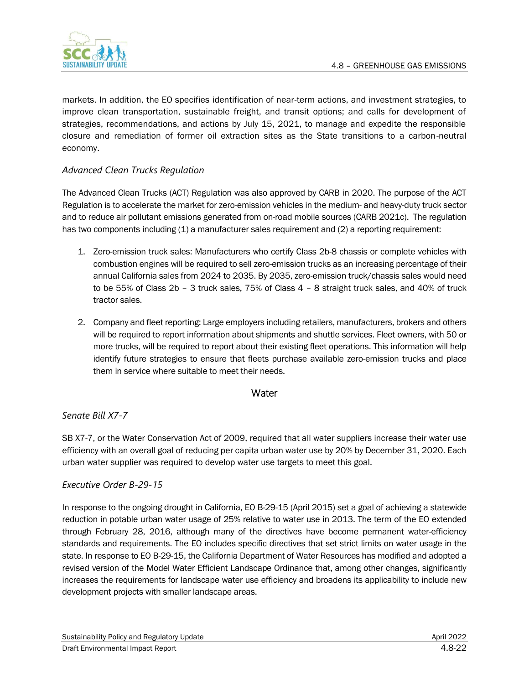

markets. In addition, the EO specifies identification of near-term actions, and investment strategies, to improve clean transportation, sustainable freight, and transit options; and calls for development of strategies, recommendations, and actions by July 15, 2021, to manage and expedite the responsible closure and remediation of former oil extraction sites as the State transitions to a carbon-neutral economy.

## *Advanced Clean Trucks Regulation*

The Advanced Clean Trucks (ACT) Regulation was also approved by CARB in 2020. The purpose of the ACT Regulation is to accelerate the market for zero-emission vehicles in the medium- and heavy-duty truck sector and to reduce air pollutant emissions generated from on-road mobile sources (CARB 2021c). The regulation has two components including (1) a manufacturer sales requirement and (2) a reporting requirement:

- 1. Zero-emission truck sales: Manufacturers who certify Class 2b-8 chassis or complete vehicles with combustion engines will be required to sell zero-emission trucks as an increasing percentage of their annual California sales from 2024 to 2035. By 2035, zero-emission truck/chassis sales would need to be 55% of Class 2b – 3 truck sales, 75% of Class 4 – 8 straight truck sales, and 40% of truck tractor sales.
- 2. Company and fleet reporting: Large employers including retailers, manufacturers, brokers and others will be required to report information about shipments and shuttle services. Fleet owners, with 50 or more trucks, will be required to report about their existing fleet operations. This information will help identify future strategies to ensure that fleets purchase available zero-emission trucks and place them in service where suitable to meet their needs.

## **Water**

### *Senate Bill X7-7*

SB X7-7, or the Water Conservation Act of 2009, required that all water suppliers increase their water use efficiency with an overall goal of reducing per capita urban water use by 20% by December 31, 2020. Each urban water supplier was required to develop water use targets to meet this goal.

### *Executive Order B-29-15*

In response to the ongoing drought in California, EO B-29-15 (April 2015) set a goal of achieving a statewide reduction in potable urban water usage of 25% relative to water use in 2013. The term of the EO extended through February 28, 2016, although many of the directives have become permanent water-efficiency standards and requirements. The EO includes specific directives that set strict limits on water usage in the state. In response to EO B-29-15, the California Department of Water Resources has modified and adopted a revised version of the Model Water Efficient Landscape Ordinance that, among other changes, significantly increases the requirements for landscape water use efficiency and broadens its applicability to include new development projects with smaller landscape areas.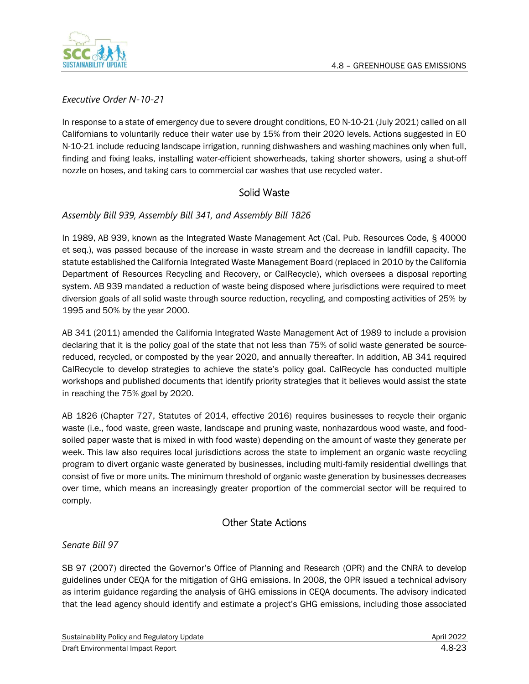

*Executive Order N-10-21*

In response to a state of emergency due to severe drought conditions, EO N-10-21 (July 2021) called on all Californians to voluntarily reduce their water use by 15% from their 2020 levels. Actions suggested in EO N-10-21 include reducing landscape irrigation, running dishwashers and washing machines only when full, finding and fixing leaks, installing water-efficient showerheads, taking shorter showers, using a shut-off nozzle on hoses, and taking cars to commercial car washes that use recycled water.

## Solid Waste

## *Assembly Bill 939, Assembly Bill 341, and Assembly Bill 1826*

In 1989, AB 939, known as the Integrated Waste Management Act (Cal. Pub. Resources Code, § 40000 et seq.), was passed because of the increase in waste stream and the decrease in landfill capacity. The statute established the California Integrated Waste Management Board (replaced in 2010 by the California Department of Resources Recycling and Recovery, or CalRecycle), which oversees a disposal reporting system. AB 939 mandated a reduction of waste being disposed where jurisdictions were required to meet diversion goals of all solid waste through source reduction, recycling, and composting activities of 25% by 1995 and 50% by the year 2000.

AB 341 (2011) amended the California Integrated Waste Management Act of 1989 to include a provision declaring that it is the policy goal of the state that not less than 75% of solid waste generated be sourcereduced, recycled, or composted by the year 2020, and annually thereafter. In addition, AB 341 required CalRecycle to develop strategies to achieve the state's policy goal. CalRecycle has conducted multiple workshops and published documents that identify priority strategies that it believes would assist the state in reaching the 75% goal by 2020.

AB 1826 (Chapter 727, Statutes of 2014, effective 2016) requires businesses to recycle their organic waste (i.e., food waste, green waste, landscape and pruning waste, nonhazardous wood waste, and foodsoiled paper waste that is mixed in with food waste) depending on the amount of waste they generate per week. This law also requires local jurisdictions across the state to implement an organic waste recycling program to divert organic waste generated by businesses, including multi-family residential dwellings that consist of five or more units. The minimum threshold of organic waste generation by businesses decreases over time, which means an increasingly greater proportion of the commercial sector will be required to comply.

## Other State Actions

*Senate Bill 97*

SB 97 (2007) directed the Governor's Office of Planning and Research (OPR) and the CNRA to develop guidelines under CEQA for the mitigation of GHG emissions. In 2008, the OPR issued a technical advisory as interim guidance regarding the analysis of GHG emissions in CEQA documents. The advisory indicated that the lead agency should identify and estimate a project's GHG emissions, including those associated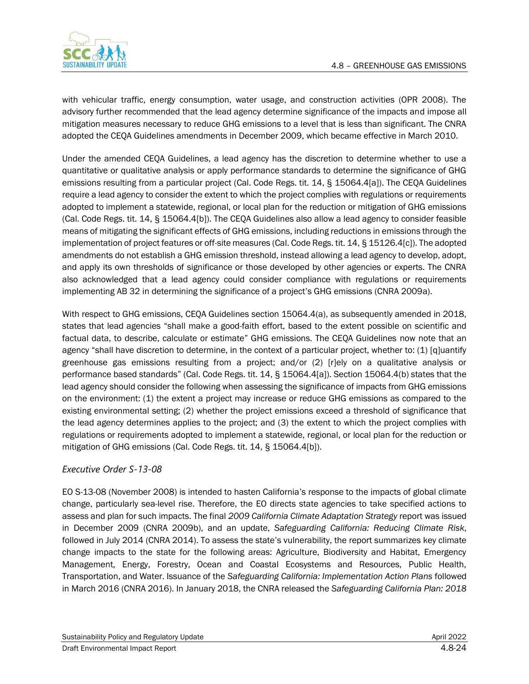

with vehicular traffic, energy consumption, water usage, and construction activities (OPR 2008). The advisory further recommended that the lead agency determine significance of the impacts and impose all mitigation measures necessary to reduce GHG emissions to a level that is less than significant. The CNRA adopted the CEQA Guidelines amendments in December 2009, which became effective in March 2010.

Under the amended CEQA Guidelines, a lead agency has the discretion to determine whether to use a quantitative or qualitative analysis or apply performance standards to determine the significance of GHG emissions resulting from a particular project (Cal. Code Regs. tit. 14, § 15064.4[a]). The CEQA Guidelines require a lead agency to consider the extent to which the project complies with regulations or requirements adopted to implement a statewide, regional, or local plan for the reduction or mitigation of GHG emissions (Cal. Code Regs. tit. 14, § 15064.4[b]). The CEQA Guidelines also allow a lead agency to consider feasible means of mitigating the significant effects of GHG emissions, including reductions in emissions through the implementation of project features or off-site measures (Cal. Code Regs. tit. 14, § 15126.4[c]). The adopted amendments do not establish a GHG emission threshold, instead allowing a lead agency to develop, adopt, and apply its own thresholds of significance or those developed by other agencies or experts. The CNRA also acknowledged that a lead agency could consider compliance with regulations or requirements implementing AB 32 in determining the significance of a project's GHG emissions (CNRA 2009a).

With respect to GHG emissions, CEQA Guidelines section 15064.4(a), as subsequently amended in 2018, states that lead agencies "shall make a good-faith effort, based to the extent possible on scientific and factual data, to describe, calculate or estimate" GHG emissions. The CEQA Guidelines now note that an agency "shall have discretion to determine, in the context of a particular project, whether to: (1) [q]uantify greenhouse gas emissions resulting from a project; and/or (2) [r]ely on a qualitative analysis or performance based standards" (Cal. Code Regs. tit. 14, § 15064.4[a]). Section 15064.4(b) states that the lead agency should consider the following when assessing the significance of impacts from GHG emissions on the environment: (1) the extent a project may increase or reduce GHG emissions as compared to the existing environmental setting; (2) whether the project emissions exceed a threshold of significance that the lead agency determines applies to the project; and (3) the extent to which the project complies with regulations or requirements adopted to implement a statewide, regional, or local plan for the reduction or mitigation of GHG emissions (Cal. Code Regs. tit. 14, § 15064.4[b]).

## *Executive Order S-13-08*

EO S-13-08 (November 2008) is intended to hasten California's response to the impacts of global climate change, particularly sea-level rise. Therefore, the EO directs state agencies to take specified actions to assess and plan for such impacts. The final *2009 California Climate Adaptation Strategy* report was issued in December 2009 (CNRA 2009b), and an update, *Safeguarding California: Reducing Climate Risk*, followed in July 2014 (CNRA 2014). To assess the state's vulnerability, the report summarizes key climate change impacts to the state for the following areas: Agriculture, Biodiversity and Habitat, Emergency Management, Energy, Forestry, Ocean and Coastal Ecosystems and Resources, Public Health, Transportation, and Water. Issuance of the *Safeguarding California: Implementation Action Plans* followed in March 2016 (CNRA 2016). In January 2018, the CNRA released the *Safeguarding California Plan: 2018*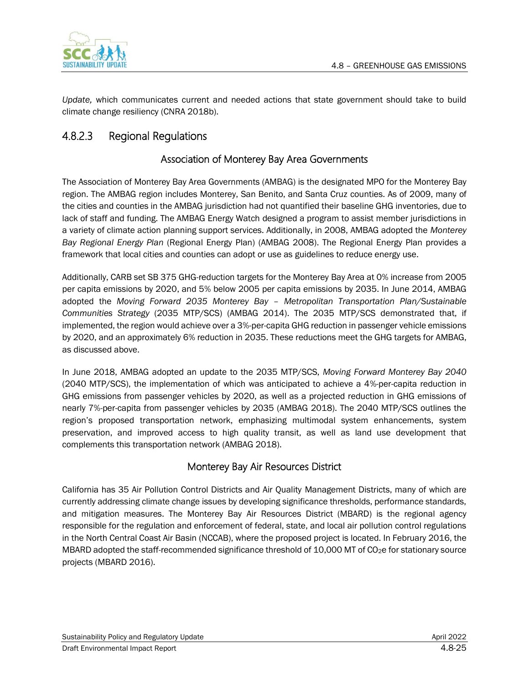

*Update,* which communicates current and needed actions that state government should take to build climate change resiliency (CNRA 2018b).

# 4.8.2.3 Regional Regulations

# Association of Monterey Bay Area Governments

The Association of Monterey Bay Area Governments (AMBAG) is the designated MPO for the Monterey Bay region. The AMBAG region includes Monterey, San Benito, and Santa Cruz counties. As of 2009, many of the cities and counties in the AMBAG jurisdiction had not quantified their baseline GHG inventories, due to lack of staff and funding. The AMBAG Energy Watch designed a program to assist member jurisdictions in a variety of climate action planning support services. Additionally, in 2008, AMBAG adopted the *Monterey Bay Regional Energy Plan* (Regional Energy Plan) (AMBAG 2008). The Regional Energy Plan provides a framework that local cities and counties can adopt or use as guidelines to reduce energy use.

Additionally, CARB set SB 375 GHG-reduction targets for the Monterey Bay Area at 0% increase from 2005 per capita emissions by 2020, and 5% below 2005 per capita emissions by 2035. In June 2014, AMBAG adopted the *Moving Forward 2035 Monterey Bay – Metropolitan Transportation Plan/Sustainable Communities Strategy* (2035 MTP/SCS) (AMBAG 2014). The 2035 MTP/SCS demonstrated that, if implemented, the region would achieve over a 3%-per-capita GHG reduction in passenger vehicle emissions by 2020, and an approximately 6% reduction in 2035. These reductions meet the GHG targets for AMBAG, as discussed above.

In June 2018, AMBAG adopted an update to the 2035 MTP/SCS, *Moving Forward Monterey Bay 2040*  (2040 MTP/SCS), the implementation of which was anticipated to achieve a 4%-per-capita reduction in GHG emissions from passenger vehicles by 2020, as well as a projected reduction in GHG emissions of nearly 7%-per-capita from passenger vehicles by 2035 (AMBAG 2018). The 2040 MTP/SCS outlines the region's proposed transportation network, emphasizing multimodal system enhancements, system preservation, and improved access to high quality transit, as well as land use development that complements this transportation network (AMBAG 2018).

# Monterey Bay Air Resources District

California has 35 Air Pollution Control Districts and Air Quality Management Districts, many of which are currently addressing climate change issues by developing significance thresholds, performance standards, and mitigation measures. The Monterey Bay Air Resources District (MBARD) is the regional agency responsible for the regulation and enforcement of federal, state, and local air pollution control regulations in the North Central Coast Air Basin (NCCAB), where the proposed project is located. In February 2016, the MBARD adopted the staff-recommended significance threshold of 10,000 MT of CO<sub>2</sub>e for stationary source projects (MBARD 2016).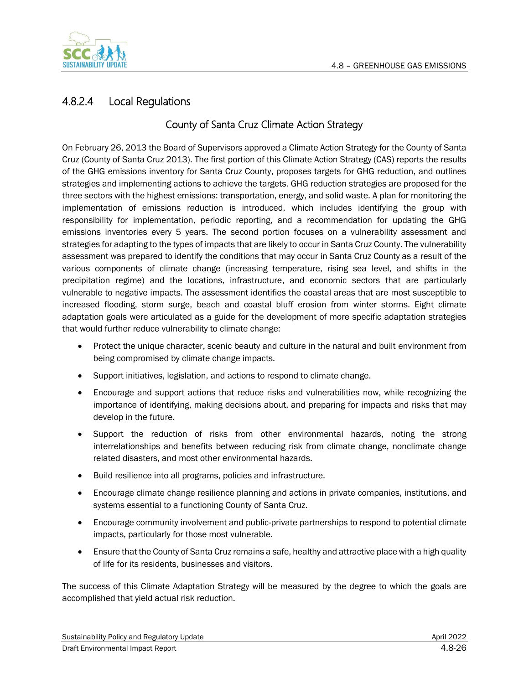

# 4.8.2.4 Local Regulations

## County of Santa Cruz Climate Action Strategy

On February 26, 2013 the Board of Supervisors approved a Climate Action Strategy for the County of Santa Cruz (County of Santa Cruz 2013). The first portion of this Climate Action Strategy (CAS) reports the results of the GHG emissions inventory for Santa Cruz County, proposes targets for GHG reduction, and outlines strategies and implementing actions to achieve the targets. GHG reduction strategies are proposed for the three sectors with the highest emissions: transportation, energy, and solid waste. A plan for monitoring the implementation of emissions reduction is introduced, which includes identifying the group with responsibility for implementation, periodic reporting, and a recommendation for updating the GHG emissions inventories every 5 years. The second portion focuses on a vulnerability assessment and strategies for adapting to the types of impacts that are likely to occur in Santa Cruz County. The vulnerability assessment was prepared to identify the conditions that may occur in Santa Cruz County as a result of the various components of climate change (increasing temperature, rising sea level, and shifts in the precipitation regime) and the locations, infrastructure, and economic sectors that are particularly vulnerable to negative impacts. The assessment identifies the coastal areas that are most susceptible to increased flooding, storm surge, beach and coastal bluff erosion from winter storms. Eight climate adaptation goals were articulated as a guide for the development of more specific adaptation strategies that would further reduce vulnerability to climate change:

- Protect the unique character, scenic beauty and culture in the natural and built environment from being compromised by climate change impacts.
- Support initiatives, legislation, and actions to respond to climate change.
- Encourage and support actions that reduce risks and vulnerabilities now, while recognizing the importance of identifying, making decisions about, and preparing for impacts and risks that may develop in the future.
- Support the reduction of risks from other environmental hazards, noting the strong interrelationships and benefits between reducing risk from climate change, nonclimate change related disasters, and most other environmental hazards.
- Build resilience into all programs, policies and infrastructure.
- Encourage climate change resilience planning and actions in private companies, institutions, and systems essential to a functioning County of Santa Cruz.
- Encourage community involvement and public-private partnerships to respond to potential climate impacts, particularly for those most vulnerable.
- Ensure that the County of Santa Cruz remains a safe, healthy and attractive place with a high quality of life for its residents, businesses and visitors.

The success of this Climate Adaptation Strategy will be measured by the degree to which the goals are accomplished that yield actual risk reduction.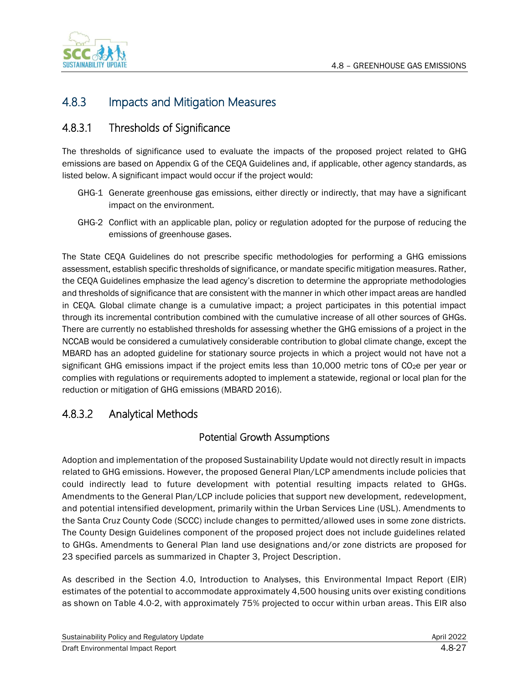

# 4.8.3 Impacts and Mitigation Measures

# 4.8.3.1 Thresholds of Significance

The thresholds of significance used to evaluate the impacts of the proposed project related to GHG emissions are based on Appendix G of the CEQA Guidelines and, if applicable, other agency standards, as listed below. A significant impact would occur if the project would:

- GHG-1 Generate greenhouse gas emissions, either directly or indirectly, that may have a significant impact on the environment.
- GHG-2 Conflict with an applicable plan, policy or regulation adopted for the purpose of reducing the emissions of greenhouse gases.

The State CEQA Guidelines do not prescribe specific methodologies for performing a GHG emissions assessment, establish specific thresholds of significance, or mandate specific mitigation measures. Rather, the CEQA Guidelines emphasize the lead agency's discretion to determine the appropriate methodologies and thresholds of significance that are consistent with the manner in which other impact areas are handled in CEQA. Global climate change is a cumulative impact; a project participates in this potential impact through its incremental contribution combined with the cumulative increase of all other sources of GHGs. There are currently no established thresholds for assessing whether the GHG emissions of a project in the NCCAB would be considered a cumulatively considerable contribution to global climate change, except the MBARD has an adopted guideline for stationary source projects in which a project would not have not a significant GHG emissions impact if the project emits less than 10,000 metric tons of CO<sub>2</sub>e per year or complies with regulations or requirements adopted to implement a statewide, regional or local plan for the reduction or mitigation of GHG emissions (MBARD 2016).

# 4.8.3.2 Analytical Methods

## Potential Growth Assumptions

Adoption and implementation of the proposed Sustainability Update would not directly result in impacts related to GHG emissions. However, the proposed General Plan/LCP amendments include policies that could indirectly lead to future development with potential resulting impacts related to GHGs. Amendments to the General Plan/LCP include policies that support new development, redevelopment, and potential intensified development, primarily within the Urban Services Line (USL). Amendments to the Santa Cruz County Code (SCCC) include changes to permitted/allowed uses in some zone districts. The County Design Guidelines component of the proposed project does not include guidelines related to GHGs. Amendments to General Plan land use designations and/or zone districts are proposed for 23 specified parcels as summarized in Chapter 3, Project Description.

As described in the Section 4.0, Introduction to Analyses, this Environmental Impact Report (EIR) estimates of the potential to accommodate approximately 4,500 housing units over existing conditions as shown on Table 4.0-2, with approximately 75% projected to occur within urban areas. This EIR also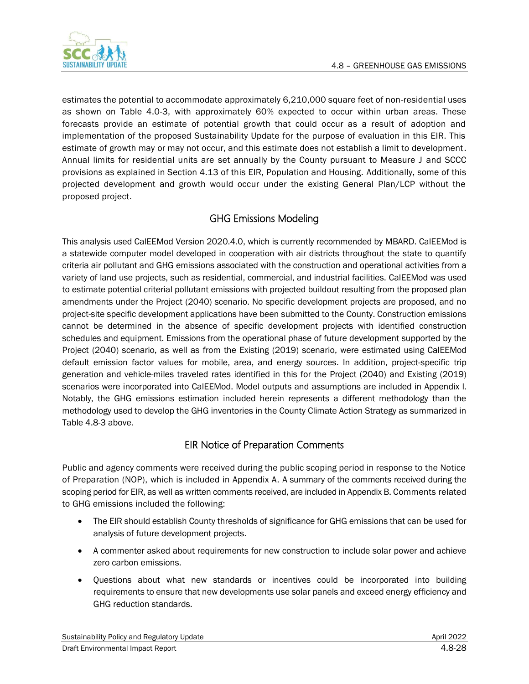

estimates the potential to accommodate approximately 6,210,000 square feet of non-residential uses as shown on Table 4.0-3, with approximately 60% expected to occur within urban areas. These forecasts provide an estimate of potential growth that could occur as a result of adoption and implementation of the proposed Sustainability Update for the purpose of evaluation in this EIR. This estimate of growth may or may not occur, and this estimate does not establish a limit to development. Annual limits for residential units are set annually by the County pursuant to Measure J and SCCC provisions as explained in Section 4.13 of this EIR, Population and Housing. Additionally, some of this projected development and growth would occur under the existing General Plan/LCP without the proposed project.

# GHG Emissions Modeling

This analysis used CalEEMod Version 2020.4.0, which is currently recommended by MBARD. CalEEMod is a statewide computer model developed in cooperation with air districts throughout the state to quantify criteria air pollutant and GHG emissions associated with the construction and operational activities from a variety of land use projects, such as residential, commercial, and industrial facilities. CalEEMod was used to estimate potential criterial pollutant emissions with projected buildout resulting from the proposed plan amendments under the Project (2040) scenario. No specific development projects are proposed, and no project-site specific development applications have been submitted to the County. Construction emissions cannot be determined in the absence of specific development projects with identified construction schedules and equipment. Emissions from the operational phase of future development supported by the Project (2040) scenario, as well as from the Existing (2019) scenario, were estimated using CalEEMod default emission factor values for mobile, area, and energy sources. In addition, project-specific trip generation and vehicle-miles traveled rates identified in this for the Project (2040) and Existing (2019) scenarios were incorporated into CalEEMod. Model outputs and assumptions are included in Appendix I. Notably, the GHG emissions estimation included herein represents a different methodology than the methodology used to develop the GHG inventories in the County Climate Action Strategy as summarized in Table 4.8-3 above.

## EIR Notice of Preparation Comments

Public and agency comments were received during the public scoping period in response to the Notice of Preparation (NOP), which is included in Appendix A. A summary of the comments received during the scoping period for EIR, as well as written comments received, are included in Appendix B. Comments related to GHG emissions included the following:

- The EIR should establish County thresholds of significance for GHG emissions that can be used for analysis of future development projects.
- A commenter asked about requirements for new construction to include solar power and achieve zero carbon emissions.
- Questions about what new standards or incentives could be incorporated into building requirements to ensure that new developments use solar panels and exceed energy efficiency and GHG reduction standards.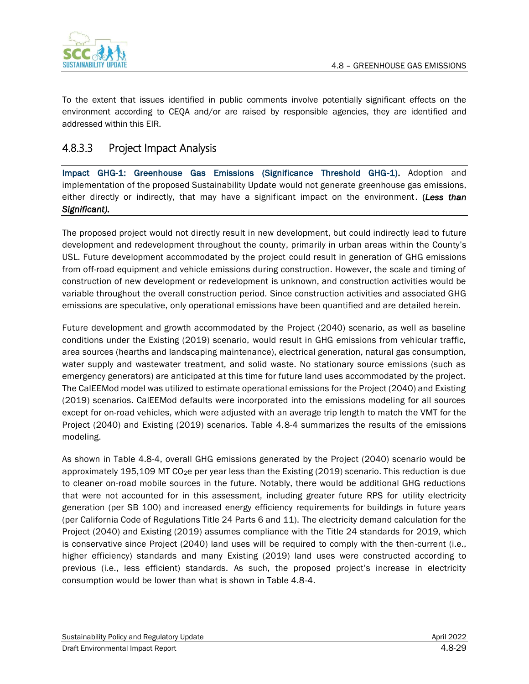

To the extent that issues identified in public comments involve potentially significant effects on the environment according to CEQA and/or are raised by responsible agencies, they are identified and addressed within this EIR.

# 4.8.3.3 Project Impact Analysis

Impact GHG-1: Greenhouse Gas Emissions (Significance Threshold GHG-1). Adoption and implementation of the proposed Sustainability Update would not generate greenhouse gas emissions, either directly or indirectly, that may have a significant impact on the environment. (*Less than Significant).*

The proposed project would not directly result in new development, but could indirectly lead to future development and redevelopment throughout the county, primarily in urban areas within the County's USL. Future development accommodated by the project could result in generation of GHG emissions from off-road equipment and vehicle emissions during construction. However, the scale and timing of construction of new development or redevelopment is unknown, and construction activities would be variable throughout the overall construction period. Since construction activities and associated GHG emissions are speculative, only operational emissions have been quantified and are detailed herein.

Future development and growth accommodated by the Project (2040) scenario, as well as baseline conditions under the Existing (2019) scenario, would result in GHG emissions from vehicular traffic, area sources (hearths and landscaping maintenance), electrical generation, natural gas consumption, water supply and wastewater treatment, and solid waste. No stationary source emissions (such as emergency generators) are anticipated at this time for future land uses accommodated by the project. The CalEEMod model was utilized to estimate operational emissions for the Project (2040) and Existing (2019) scenarios. CalEEMod defaults were incorporated into the emissions modeling for all sources except for on-road vehicles, which were adjusted with an average trip length to match the VMT for the Project (2040) and Existing (2019) scenarios. Table 4.8-4 summarizes the results of the emissions modeling.

As shown in Table 4.8-4, overall GHG emissions generated by the Project (2040) scenario would be approximately 195,109 MT CO<sub>2</sub>e per year less than the Existing (2019) scenario. This reduction is due to cleaner on-road mobile sources in the future. Notably, there would be additional GHG reductions that were not accounted for in this assessment, including greater future RPS for utility electricity generation (per SB 100) and increased energy efficiency requirements for buildings in future years (per California Code of Regulations Title 24 Parts 6 and 11). The electricity demand calculation for the Project (2040) and Existing (2019) assumes compliance with the Title 24 standards for 2019, which is conservative since Project (2040) land uses will be required to comply with the then-current (i.e., higher efficiency) standards and many Existing (2019) land uses were constructed according to previous (i.e., less efficient) standards. As such, the proposed project's increase in electricity consumption would be lower than what is shown in Table 4.8-4.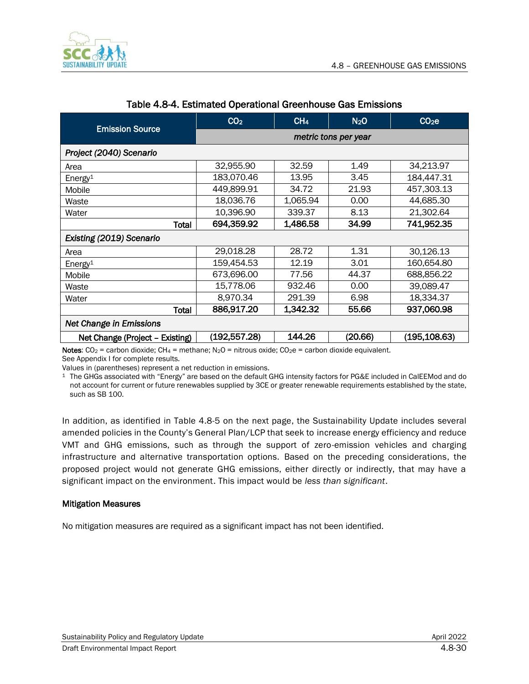

| <b>Emission Source</b>                                                                                    | CO <sub>2</sub>                                    | CH <sub>4</sub> | N <sub>2</sub> O | CO <sub>2</sub> e |  |
|-----------------------------------------------------------------------------------------------------------|----------------------------------------------------|-----------------|------------------|-------------------|--|
|                                                                                                           | metric tons per year                               |                 |                  |                   |  |
| Project (2040) Scenario                                                                                   |                                                    |                 |                  |                   |  |
| Area                                                                                                      | 32,955.90                                          | 32.59           | 1.49             | 34,213.97         |  |
| Energy <sup>1</sup>                                                                                       | 183,070.46                                         | 13.95           | 3.45             | 184,447.31        |  |
| Mobile                                                                                                    | 449,899.91                                         | 34.72           | 21.93            | 457,303.13        |  |
| Waste                                                                                                     | 18,036.76                                          | 1,065.94        | 0.00             | 44,685.30         |  |
| Water                                                                                                     | 10,396.90                                          | 339.37          | 8.13             | 21,302.64         |  |
| Total                                                                                                     | 694,359.92                                         | 1,486.58        | 34.99            | 741,952.35        |  |
| Existing (2019) Scenario                                                                                  |                                                    |                 |                  |                   |  |
| Area                                                                                                      | 29,018.28                                          | 28.72           | 1.31             | 30,126.13         |  |
| Energy <sup>1</sup>                                                                                       | 159,454.53                                         | 12.19           | 3.01             | 160,654.80        |  |
| Mobile                                                                                                    | 673,696.00                                         | 77.56           | 44.37            | 688,856.22        |  |
| Waste                                                                                                     | 15,778.06                                          | 932.46          | 0.00             | 39,089.47         |  |
| Water                                                                                                     | 8,970.34                                           | 291.39          | 6.98             | 18,334.37         |  |
| <b>Total</b>                                                                                              | 886,917.20                                         | 1,342.32        | 55.66            | 937,060.98        |  |
| Net Change in Emissions                                                                                   |                                                    |                 |                  |                   |  |
| Net Change (Project - Existing)                                                                           | 144.26<br>(195, 108.63)<br>(192,557.28)<br>(20.66) |                 |                  |                   |  |
| Note: $CO2 = 0$ shop dioxide: $CH1 =$ methone: $N_2O =$ pitrous exide: $CO2O = 0$ shop dioxide equivalent |                                                    |                 |                  |                   |  |

#### Table 4.8-4. Estimated Operational Greenhouse Gas Emissions

Notes:  $CO_2$  = carbon dioxide; CH<sub>4</sub> = methane; N<sub>2</sub>O = nitrous oxide; CO<sub>2</sub>e = carbon dioxide equivalent. See Appendix I for complete results.

Values in (parentheses) represent a net reduction in emissions.

<sup>1</sup> The GHGs associated with "Energy" are based on the default GHG intensity factors for PG&E included in CalEEMod and do not account for current or future renewables supplied by 3CE or greater renewable requirements established by the state, such as SB 100.

In addition, as identified in Table 4.8-5 on the next page, the Sustainability Update includes several amended policies in the County's General Plan/LCP that seek to increase energy efficiency and reduce VMT and GHG emissions, such as through the support of zero-emission vehicles and charging infrastructure and alternative transportation options. Based on the preceding considerations, the proposed project would not generate GHG emissions, either directly or indirectly, that may have a significant impact on the environment. This impact would be *less than significant*.

#### Mitigation Measures

No mitigation measures are required as a significant impact has not been identified.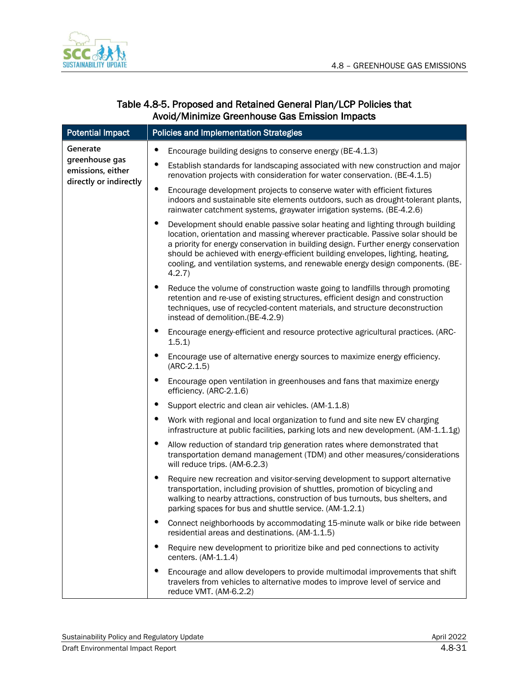

| <b>Potential Impact</b>                                       | <b>Policies and Implementation Strategies</b>                                                                                                                                                                                                                                                                                                                                                                                              |
|---------------------------------------------------------------|--------------------------------------------------------------------------------------------------------------------------------------------------------------------------------------------------------------------------------------------------------------------------------------------------------------------------------------------------------------------------------------------------------------------------------------------|
| Generate                                                      | ٠<br>Encourage building designs to conserve energy (BE-4.1.3)                                                                                                                                                                                                                                                                                                                                                                              |
| greenhouse gas<br>emissions, either<br>directly or indirectly | Establish standards for landscaping associated with new construction and major<br>renovation projects with consideration for water conservation. (BE-4.1.5)                                                                                                                                                                                                                                                                                |
|                                                               | ٠<br>Encourage development projects to conserve water with efficient fixtures<br>indoors and sustainable site elements outdoors, such as drought-tolerant plants,<br>rainwater catchment systems, graywater irrigation systems. (BE-4.2.6)                                                                                                                                                                                                 |
|                                                               | ٠<br>Development should enable passive solar heating and lighting through building<br>location, orientation and massing wherever practicable. Passive solar should be<br>a priority for energy conservation in building design. Further energy conservation<br>should be achieved with energy-efficient building envelopes, lighting, heating,<br>cooling, and ventilation systems, and renewable energy design components. (BE-<br>4.2.7) |
|                                                               | ٠<br>Reduce the volume of construction waste going to landfills through promoting<br>retention and re-use of existing structures, efficient design and construction<br>techniques, use of recycled-content materials, and structure deconstruction<br>instead of demolition.(BE-4.2.9)                                                                                                                                                     |
|                                                               | Encourage energy-efficient and resource protective agricultural practices. (ARC-<br>٠<br>1.5.1)                                                                                                                                                                                                                                                                                                                                            |
|                                                               | Encourage use of alternative energy sources to maximize energy efficiency.<br>٠<br>$(ARC-2.1.5)$                                                                                                                                                                                                                                                                                                                                           |
|                                                               | ٠<br>Encourage open ventilation in greenhouses and fans that maximize energy<br>efficiency. (ARC-2.1.6)                                                                                                                                                                                                                                                                                                                                    |
|                                                               | Support electric and clean air vehicles. (AM-1.1.8)                                                                                                                                                                                                                                                                                                                                                                                        |
|                                                               | ٠<br>Work with regional and local organization to fund and site new EV charging<br>infrastructure at public facilities, parking lots and new development. (AM-1.1.1.1g)                                                                                                                                                                                                                                                                    |
|                                                               | ٠<br>Allow reduction of standard trip generation rates where demonstrated that<br>transportation demand management (TDM) and other measures/considerations<br>will reduce trips. (AM-6.2.3)                                                                                                                                                                                                                                                |
|                                                               | Require new recreation and visitor-serving development to support alternative<br>transportation, including provision of shuttles, promotion of bicycling and<br>walking to nearby attractions, construction of bus turnouts, bus shelters, and<br>parking spaces for bus and shuttle service. (AM-1.2.1)                                                                                                                                   |
|                                                               | Connect neighborhoods by accommodating 15-minute walk or bike ride between<br>residential areas and destinations. (AM-1.1.5)                                                                                                                                                                                                                                                                                                               |
|                                                               | Require new development to prioritize bike and ped connections to activity<br>centers. (AM-1.1.4)                                                                                                                                                                                                                                                                                                                                          |
|                                                               | ٠<br>Encourage and allow developers to provide multimodal improvements that shift<br>travelers from vehicles to alternative modes to improve level of service and<br>reduce VMT. (AM-6.2.2)                                                                                                                                                                                                                                                |

## Table 4.8-5. Proposed and Retained General Plan/LCP Policies that Avoid/Minimize Greenhouse Gas Emission Impacts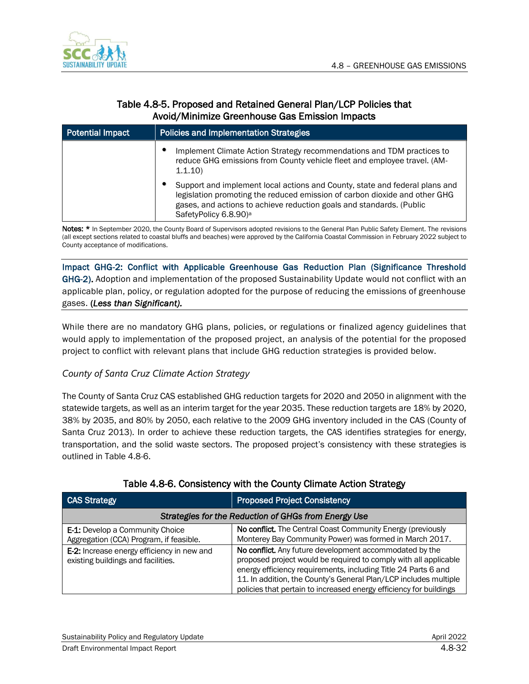

## Table 4.8-5. Proposed and Retained General Plan/LCP Policies that Avoid/Minimize Greenhouse Gas Emission Impacts

| <b>Potential Impact</b> | <b>Policies and Implementation Strategies</b>                                                                                                                                                                                                                          |
|-------------------------|------------------------------------------------------------------------------------------------------------------------------------------------------------------------------------------------------------------------------------------------------------------------|
|                         | Implement Climate Action Strategy recommendations and TDM practices to<br>reduce GHG emissions from County vehicle fleet and employee travel. (AM-<br>1.1.10                                                                                                           |
|                         | Support and implement local actions and County, state and federal plans and<br>legislation promoting the reduced emission of carbon dioxide and other GHG<br>gases, and actions to achieve reduction goals and standards. (Public<br>SafetyPolicy 6.8.90) <sup>a</sup> |

Notes: \* In September 2020, the County Board of Supervisors adopted revisions to the General Plan Public Safety Element. The revisions (all except sections related to coastal bluffs and beaches) were approved by the California Coastal Commission in February 2022 subject to County acceptance of modifications.

Impact GHG-2: Conflict with Applicable Greenhouse Gas Reduction Plan (Significance Threshold GHG-2). Adoption and implementation of the proposed Sustainability Update would not conflict with an applicable plan, policy, or regulation adopted for the purpose of reducing the emissions of greenhouse gases. (*Less than Significant).*

While there are no mandatory GHG plans, policies, or regulations or finalized agency guidelines that would apply to implementation of the proposed project, an analysis of the potential for the proposed project to conflict with relevant plans that include GHG reduction strategies is provided below.

### *County of Santa Cruz Climate Action Strategy*

The County of Santa Cruz CAS established GHG reduction targets for 2020 and 2050 in alignment with the statewide targets, as well as an interim target for the year 2035. These reduction targets are 18% by 2020, 38% by 2035, and 80% by 2050, each relative to the 2009 GHG inventory included in the CAS (County of Santa Cruz 2013). In order to achieve these reduction targets, the CAS identifies strategies for energy, transportation, and the solid waste sectors. The proposed project's consistency with these strategies is outlined in Table 4.8-6.

| <b>CAS Strategy</b>                                                               | <b>Proposed Project Consistency</b>                                                                                                                                                                                                                                                                                                     |
|-----------------------------------------------------------------------------------|-----------------------------------------------------------------------------------------------------------------------------------------------------------------------------------------------------------------------------------------------------------------------------------------------------------------------------------------|
|                                                                                   | Strategies for the Reduction of GHGs from Energy Use                                                                                                                                                                                                                                                                                    |
| <b>E-1:</b> Develop a Community Choice<br>Aggregation (CCA) Program, if feasible. | No conflict. The Central Coast Community Energy (previously<br>Monterey Bay Community Power) was formed in March 2017.                                                                                                                                                                                                                  |
| E-2: Increase energy efficiency in new and<br>existing buildings and facilities.  | No conflict. Any future development accommodated by the<br>proposed project would be required to comply with all applicable<br>energy efficiency requirements, including Title 24 Parts 6 and<br>11. In addition, the County's General Plan/LCP includes multiple<br>policies that pertain to increased energy efficiency for buildings |

### Table 4.8-6. Consistency with the County Climate Action Strategy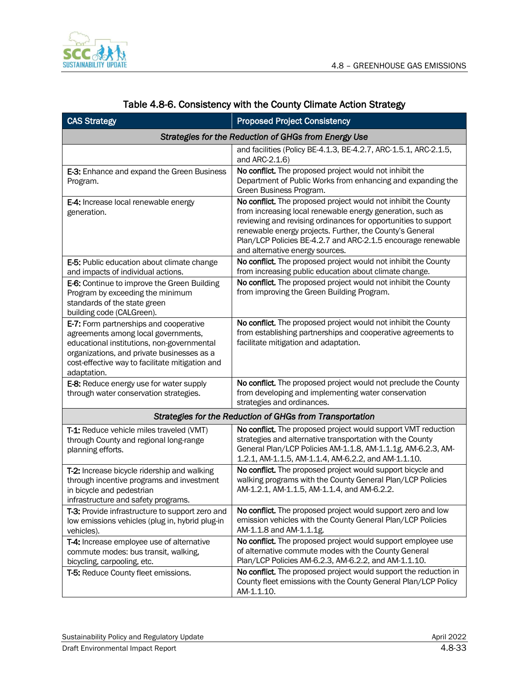

| <b>CAS Strategy</b>                                                                                                                                                                                                                         | <b>Proposed Project Consistency</b>                                                                                                                                                                                                                                                                                                                           |  |  |
|---------------------------------------------------------------------------------------------------------------------------------------------------------------------------------------------------------------------------------------------|---------------------------------------------------------------------------------------------------------------------------------------------------------------------------------------------------------------------------------------------------------------------------------------------------------------------------------------------------------------|--|--|
| Strategies for the Reduction of GHGs from Energy Use                                                                                                                                                                                        |                                                                                                                                                                                                                                                                                                                                                               |  |  |
|                                                                                                                                                                                                                                             | and facilities (Policy BE-4.1.3, BE-4.2.7, ARC-1.5.1, ARC-2.1.5,<br>and ARC-2.1.6)                                                                                                                                                                                                                                                                            |  |  |
| E-3: Enhance and expand the Green Business<br>Program.                                                                                                                                                                                      | No conflict. The proposed project would not inhibit the<br>Department of Public Works from enhancing and expanding the<br>Green Business Program.                                                                                                                                                                                                             |  |  |
| E-4: Increase local renewable energy<br>generation.                                                                                                                                                                                         | No conflict. The proposed project would not inhibit the County<br>from increasing local renewable energy generation, such as<br>reviewing and revising ordinances for opportunities to support<br>renewable energy projects. Further, the County's General<br>Plan/LCP Policies BE-4.2.7 and ARC-2.1.5 encourage renewable<br>and alternative energy sources. |  |  |
| E-5: Public education about climate change<br>and impacts of individual actions.                                                                                                                                                            | No conflict. The proposed project would not inhibit the County<br>from increasing public education about climate change.                                                                                                                                                                                                                                      |  |  |
| E-6: Continue to improve the Green Building<br>Program by exceeding the minimum<br>standards of the state green<br>building code (CALGreen).                                                                                                | No conflict. The proposed project would not inhibit the County<br>from improving the Green Building Program.                                                                                                                                                                                                                                                  |  |  |
| E-7: Form partnerships and cooperative<br>agreements among local governments,<br>educational institutions, non-governmental<br>organizations, and private businesses as a<br>cost-effective way to facilitate mitigation and<br>adaptation. | No conflict. The proposed project would not inhibit the County<br>from establishing partnerships and cooperative agreements to<br>facilitate mitigation and adaptation.                                                                                                                                                                                       |  |  |
| E-8: Reduce energy use for water supply<br>through water conservation strategies.                                                                                                                                                           | No conflict. The proposed project would not preclude the County<br>from developing and implementing water conservation<br>strategies and ordinances.                                                                                                                                                                                                          |  |  |
| Strategies for the Reduction of GHGs from Transportation                                                                                                                                                                                    |                                                                                                                                                                                                                                                                                                                                                               |  |  |
| T-1: Reduce vehicle miles traveled (VMT)<br>through County and regional long-range<br>planning efforts.                                                                                                                                     | No conflict. The proposed project would support VMT reduction<br>strategies and alternative transportation with the County<br>General Plan/LCP Policies AM-1.1.8, AM-1.1.1g, AM-6.2.3, AM-<br>1.2.1, AM-1.1.5, AM-1.1.4, AM-6.2.2, and AM-1.1.10.                                                                                                             |  |  |
| T-2: Increase bicycle ridership and walking<br>through incentive programs and investment<br>in bicycle and pedestrian<br>infrastructure and safety programs.                                                                                | No conflict. The proposed project would support bicycle and<br>walking programs with the County General Plan/LCP Policies<br>AM-1.2.1, AM-1.1.5, AM-1.1.4, and AM-6.2.2.                                                                                                                                                                                      |  |  |
| T-3: Provide infrastructure to support zero and<br>low emissions vehicles (plug in, hybrid plug-in<br>vehicles).                                                                                                                            | No conflict. The proposed project would support zero and low<br>emission vehicles with the County General Plan/LCP Policies<br>AM-1.1.8 and AM-1.1.1g.                                                                                                                                                                                                        |  |  |
| T-4: Increase employee use of alternative<br>commute modes: bus transit, walking,<br>bicycling, carpooling, etc.                                                                                                                            | No conflict. The proposed project would support employee use<br>of alternative commute modes with the County General<br>Plan/LCP Policies AM-6.2.3, AM-6.2.2, and AM-1.1.10.                                                                                                                                                                                  |  |  |
| T-5: Reduce County fleet emissions.                                                                                                                                                                                                         | No conflict. The proposed project would support the reduction in<br>County fleet emissions with the County General Plan/LCP Policy<br>AM-1.1.10.                                                                                                                                                                                                              |  |  |

## Table 4.8-6. Consistency with the County Climate Action Strategy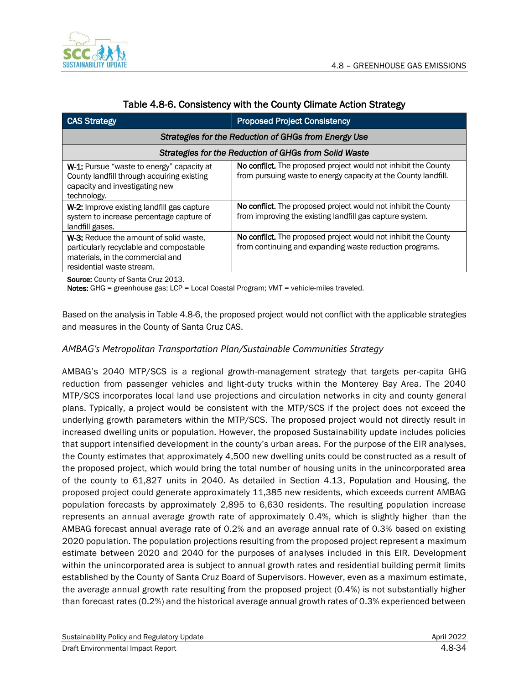

| <b>CAS Strategy</b>                                                                                                                                | <b>Proposed Project Consistency</b>                                                                                              |  |  |
|----------------------------------------------------------------------------------------------------------------------------------------------------|----------------------------------------------------------------------------------------------------------------------------------|--|--|
| Strategies for the Reduction of GHGs from Energy Use                                                                                               |                                                                                                                                  |  |  |
| Strategies for the Reduction of GHGs from Solid Waste                                                                                              |                                                                                                                                  |  |  |
| <b>W-1:</b> Pursue "waste to energy" capacity at<br>County landfill through acquiring existing<br>capacity and investigating new<br>technology.    | No conflict. The proposed project would not inhibit the County<br>from pursuing waste to energy capacity at the County landfill. |  |  |
| W-2: Improve existing landfill gas capture<br>system to increase percentage capture of<br>landfill gases.                                          | No conflict. The proposed project would not inhibit the County<br>from improving the existing landfill gas capture system.       |  |  |
| W-3: Reduce the amount of solid waste.<br>particularly recyclable and compostable<br>materials, in the commercial and<br>residential waste stream. | No conflict. The proposed project would not inhibit the County<br>from continuing and expanding waste reduction programs.        |  |  |

### Table 4.8-6. Consistency with the County Climate Action Strategy

Source: County of Santa Cruz 2013.

Notes: GHG = greenhouse gas; LCP = Local Coastal Program; VMT = vehicle-miles traveled.

Based on the analysis in Table 4.8-6, the proposed project would not conflict with the applicable strategies and measures in the County of Santa Cruz CAS.

## *AMBAG's Metropolitan Transportation Plan/Sustainable Communities Strategy*

AMBAG's 2040 MTP/SCS is a regional growth-management strategy that targets per-capita GHG reduction from passenger vehicles and light-duty trucks within the Monterey Bay Area. The 2040 MTP/SCS incorporates local land use projections and circulation networks in city and county general plans. Typically, a project would be consistent with the MTP/SCS if the project does not exceed the underlying growth parameters within the MTP/SCS. The proposed project would not directly result in increased dwelling units or population. However, the proposed Sustainability update includes policies that support intensified development in the county's urban areas. For the purpose of the EIR analyses, the County estimates that approximately 4,500 new dwelling units could be constructed as a result of the proposed project, which would bring the total number of housing units in the unincorporated area of the county to 61,827 units in 2040. As detailed in Section 4.13, Population and Housing, the proposed project could generate approximately 11,385 new residents, which exceeds current AMBAG population forecasts by approximately 2,895 to 6,630 residents. The resulting population increase represents an annual average growth rate of approximately 0.4%, which is slightly higher than the AMBAG forecast annual average rate of 0.2% and an average annual rate of 0.3% based on existing 2020 population. The population projections resulting from the proposed project represent a maximum estimate between 2020 and 2040 for the purposes of analyses included in this EIR. Development within the unincorporated area is subject to annual growth rates and residential building permit limits established by the County of Santa Cruz Board of Supervisors. However, even as a maximum estimate, the average annual growth rate resulting from the proposed project (0.4%) is not substantially higher than forecast rates (0.2%) and the historical average annual growth rates of 0.3% experienced between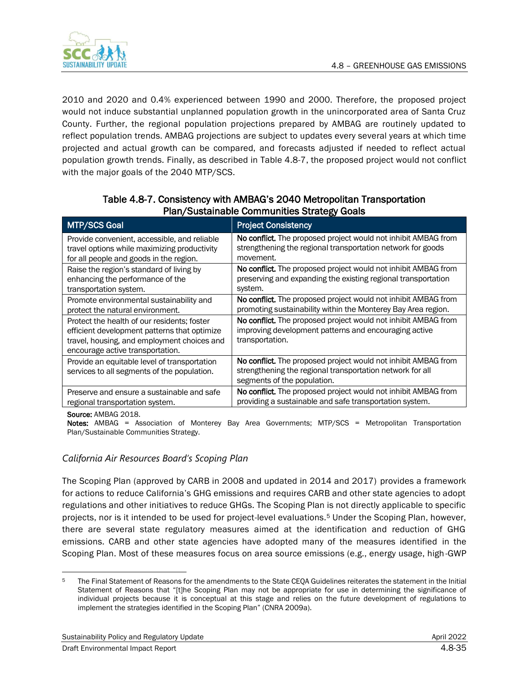

2010 and 2020 and 0.4% experienced between 1990 and 2000. Therefore, the proposed project would not induce substantial unplanned population growth in the unincorporated area of Santa Cruz County. Further, the regional population projections prepared by AMBAG are routinely updated to reflect population trends. AMBAG projections are subject to updates every several years at which time projected and actual growth can be compared, and forecasts adjusted if needed to reflect actual population growth trends. Finally, as described in Table 4.8-7, the proposed project would not conflict with the major goals of the 2040 MTP/SCS.

| <b>MTP/SCS Goal</b>                                                                                                                                                            | <b>Project Consistency</b>                                                                                                                                 |
|--------------------------------------------------------------------------------------------------------------------------------------------------------------------------------|------------------------------------------------------------------------------------------------------------------------------------------------------------|
| Provide convenient, accessible, and reliable                                                                                                                                   | No conflict. The proposed project would not inhibit AMBAG from                                                                                             |
| travel options while maximizing productivity                                                                                                                                   | strengthening the regional transportation network for goods                                                                                                |
| for all people and goods in the region.                                                                                                                                        | movement.                                                                                                                                                  |
| Raise the region's standard of living by                                                                                                                                       | No conflict. The proposed project would not inhibit AMBAG from                                                                                             |
| enhancing the performance of the                                                                                                                                               | preserving and expanding the existing regional transportation                                                                                              |
| transportation system.                                                                                                                                                         | system.                                                                                                                                                    |
| Promote environmental sustainability and                                                                                                                                       | No conflict. The proposed project would not inhibit AMBAG from                                                                                             |
| protect the natural environment.                                                                                                                                               | promoting sustainability within the Monterey Bay Area region.                                                                                              |
| Protect the health of our residents; foster<br>efficient development patterns that optimize<br>travel, housing, and employment choices and<br>encourage active transportation. | No conflict. The proposed project would not inhibit AMBAG from<br>improving development patterns and encouraging active<br>transportation.                 |
| Provide an equitable level of transportation<br>services to all segments of the population.                                                                                    | No conflict. The proposed project would not inhibit AMBAG from<br>strengthening the regional transportation network for all<br>segments of the population. |
| Preserve and ensure a sustainable and safe                                                                                                                                     | No conflict. The proposed project would not inhibit AMBAG from                                                                                             |
| regional transportation system.                                                                                                                                                | providing a sustainable and safe transportation system.                                                                                                    |

## Table 4.8-7. Consistency with AMBAG's 2040 Metropolitan Transportation Plan/Sustainable Communities Strategy Goals

Source: AMBAG 2018.

Notes: AMBAG = Association of Monterey Bay Area Governments; MTP/SCS = Metropolitan Transportation Plan/Sustainable Communities Strategy.

## *California Air Resources Board's Scoping Plan*

The Scoping Plan (approved by CARB in 2008 and updated in 2014 and 2017) provides a framework for actions to reduce California's GHG emissions and requires CARB and other state agencies to adopt regulations and other initiatives to reduce GHGs. The Scoping Plan is not directly applicable to specific projects, nor is it intended to be used for project-level evaluations.<sup>5</sup> Under the Scoping Plan, however, there are several state regulatory measures aimed at the identification and reduction of GHG emissions. CARB and other state agencies have adopted many of the measures identified in the Scoping Plan. Most of these measures focus on area source emissions (e.g., energy usage, high-GWP

<sup>&</sup>lt;sup>5</sup> The Final Statement of Reasons for the amendments to the State CEOA Guidelines reiterates the statement in the Initial Statement of Reasons that "[t]he Scoping Plan may not be appropriate for use in determining the significance of individual projects because it is conceptual at this stage and relies on the future development of regulations to implement the strategies identified in the Scoping Plan" (CNRA 2009a).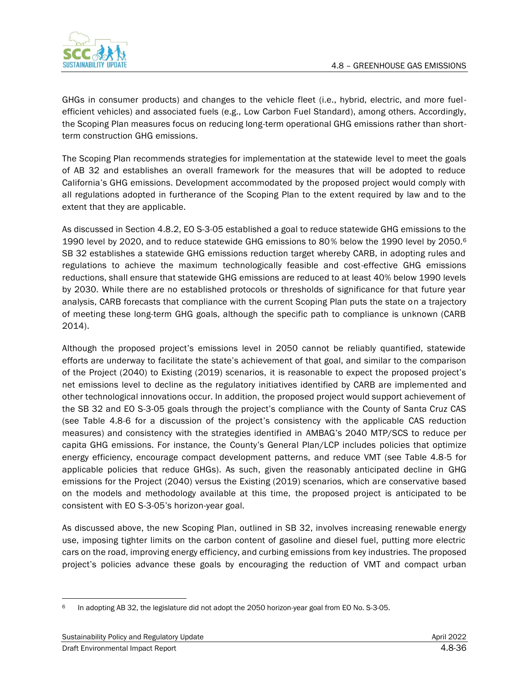

GHGs in consumer products) and changes to the vehicle fleet (i.e., hybrid, electric, and more fuelefficient vehicles) and associated fuels (e.g., Low Carbon Fuel Standard), among others. Accordingly, the Scoping Plan measures focus on reducing long-term operational GHG emissions rather than shortterm construction GHG emissions.

The Scoping Plan recommends strategies for implementation at the statewide level to meet the goals of AB 32 and establishes an overall framework for the measures that will be adopted to reduce California's GHG emissions. Development accommodated by the proposed project would comply with all regulations adopted in furtherance of the Scoping Plan to the extent required by law and to the extent that they are applicable.

As discussed in Section 4.8.2, EO S-3-05 established a goal to reduce statewide GHG emissions to the 1990 level by 2020, and to reduce statewide GHG emissions to 80% below the 1990 level by 2050.<sup>6</sup> SB 32 establishes a statewide GHG emissions reduction target whereby CARB, in adopting rules and regulations to achieve the maximum technologically feasible and cost-effective GHG emissions reductions, shall ensure that statewide GHG emissions are reduced to at least 40% below 1990 levels by 2030. While there are no established protocols or thresholds of significance for that future year analysis, CARB forecasts that compliance with the current Scoping Plan puts the state on a trajectory of meeting these long-term GHG goals, although the specific path to compliance is unknown (CARB 2014).

Although the proposed project's emissions level in 2050 cannot be reliably quantified, statewide efforts are underway to facilitate the state's achievement of that goal, and similar to the comparison of the Project (2040) to Existing (2019) scenarios, it is reasonable to expect the proposed project's net emissions level to decline as the regulatory initiatives identified by CARB are implemented and other technological innovations occur. In addition, the proposed project would support achievement of the SB 32 and EO S-3-05 goals through the project's compliance with the County of Santa Cruz CAS (see Table 4.8-6 for a discussion of the project's consistency with the applicable CAS reduction measures) and consistency with the strategies identified in AMBAG's 2040 MTP/SCS to reduce per capita GHG emissions. For instance, the County's General Plan/LCP includes policies that optimize energy efficiency, encourage compact development patterns, and reduce VMT (see Table 4.8-5 for applicable policies that reduce GHGs). As such, given the reasonably anticipated decline in GHG emissions for the Project (2040) versus the Existing (2019) scenarios, which are conservative based on the models and methodology available at this time, the proposed project is anticipated to be consistent with EO S-3-05's horizon-year goal.

As discussed above, the new Scoping Plan, outlined in SB 32, involves increasing renewable energy use, imposing tighter limits on the carbon content of gasoline and diesel fuel, putting more electric cars on the road, improving energy efficiency, and curbing emissions from key industries. The proposed project's policies advance these goals by encouraging the reduction of VMT and compact urban

<sup>6</sup> In adopting AB 32, the legislature did not adopt the 2050 horizon-year goal from EO No. S-3-05.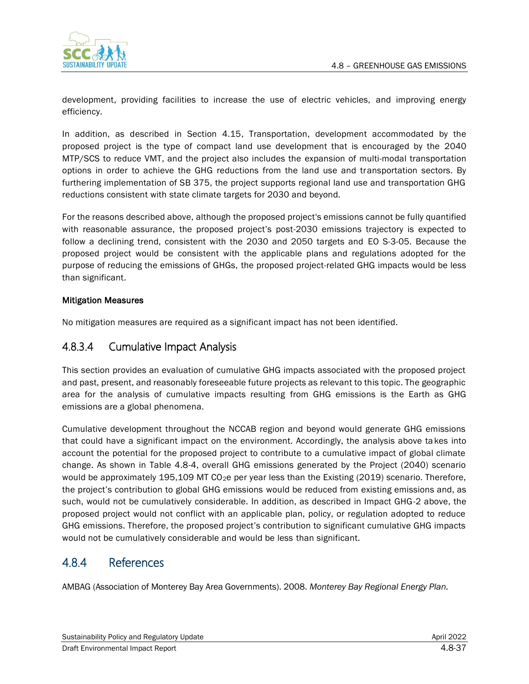

development, providing facilities to increase the use of electric vehicles, and improving energy efficiency.

In addition, as described in Section 4.15, Transportation, development accommodated by the proposed project is the type of compact land use development that is encouraged by the 2040 MTP/SCS to reduce VMT, and the project also includes the expansion of multi-modal transportation options in order to achieve the GHG reductions from the land use and transportation sectors. By furthering implementation of SB 375, the project supports regional land use and transportation GHG reductions consistent with state climate targets for 2030 and beyond.

For the reasons described above, although the proposed project's emissions cannot be fully quantified with reasonable assurance, the proposed project's post-2030 emissions trajectory is expected to follow a declining trend, consistent with the 2030 and 2050 targets and EO S-3-05. Because the proposed project would be consistent with the applicable plans and regulations adopted for the purpose of reducing the emissions of GHGs, the proposed project-related GHG impacts would be less than significant.

#### Mitigation Measures

No mitigation measures are required as a significant impact has not been identified.

# 4.8.3.4 Cumulative Impact Analysis

This section provides an evaluation of cumulative GHG impacts associated with the proposed project and past, present, and reasonably foreseeable future projects as relevant to this topic. The geographic area for the analysis of cumulative impacts resulting from GHG emissions is the Earth as GHG emissions are a global phenomena.

Cumulative development throughout the NCCAB region and beyond would generate GHG emissions that could have a significant impact on the environment. Accordingly, the analysis above takes into account the potential for the proposed project to contribute to a cumulative impact of global climate change. As shown in Table 4.8-4, overall GHG emissions generated by the Project (2040) scenario would be approximately 195,109 MT CO<sub>2</sub>e per year less than the Existing (2019) scenario. Therefore, the project's contribution to global GHG emissions would be reduced from existing emissions and, as such, would not be cumulatively considerable. In addition, as described in Impact GHG-2 above, the proposed project would not conflict with an applicable plan, policy, or regulation adopted to reduce GHG emissions. Therefore, the proposed project's contribution to significant cumulative GHG impacts would not be cumulatively considerable and would be less than significant.

# 4.8.4 References

AMBAG (Association of Monterey Bay Area Governments). 2008. *Monterey Bay Regional Energy Plan.*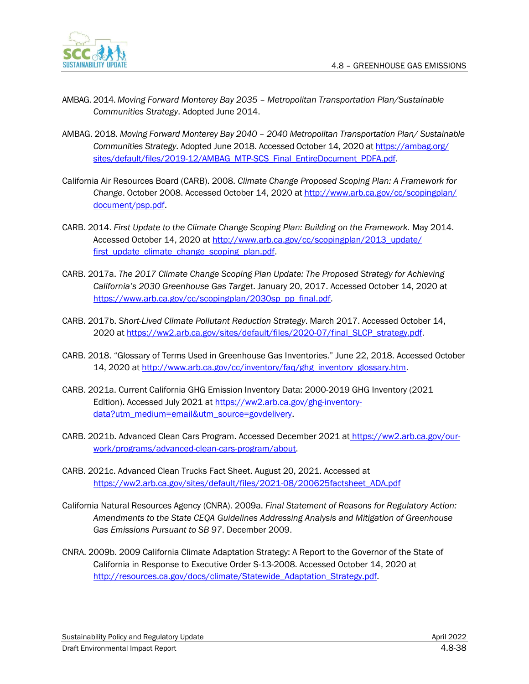

- AMBAG. 2014. *Moving Forward Monterey Bay 2035 – Metropolitan Transportation Plan/Sustainable Communities Strategy*. Adopted June 2014.
- AMBAG. 2018. *Moving Forward Monterey Bay 2040 – 2040 Metropolitan Transportation Plan/ Sustainable Communities Strategy*. Adopted June 2018. Accessed October 14, 2020 a[t https://ambag.org/](https://ambag.org/sites/default/files/2019-12/AMBAG_MTP-SCS_Final_EntireDocument_PDFA.pdf) [sites/default/files/2019-12/AMBAG\\_MTP-SCS\\_Final\\_EntireDocument\\_PDFA.pdf.](https://ambag.org/sites/default/files/2019-12/AMBAG_MTP-SCS_Final_EntireDocument_PDFA.pdf)
- California Air Resources Board (CARB). 2008. *Climate Change Proposed Scoping Plan: A Framework for Change*. October 2008. Accessed October 14, 2020 at [http://www.arb.ca.gov/cc/scopingplan/](http://www.arb.ca.gov/cc/scopingplan/document/psp.pdf) [document/psp.pdf.](http://www.arb.ca.gov/cc/scopingplan/document/psp.pdf)
- CARB. 2014. *First Update to the Climate Change Scoping Plan: Building on the Framework.* May 2014. Accessed October 14, 2020 at [http://www.arb.ca.gov/cc/scopingplan/2013\\_update/](http://www.arb.ca.gov/cc/scopingplan/2013_update/first_update_climate_change_scoping_plan.pdf) [first\\_update\\_climate\\_change\\_scoping\\_plan.pdf.](http://www.arb.ca.gov/cc/scopingplan/2013_update/first_update_climate_change_scoping_plan.pdf)
- CARB. 2017a. *The 2017 Climate Change Scoping Plan Update: The Proposed Strategy for Achieving California's 2030 Greenhouse Gas Target*. January 20, 2017. Accessed October 14, 2020 at [https://www.arb.ca.gov/cc/scopingplan/2030sp\\_pp\\_final.pdf.](https://www.arb.ca.gov/cc/scopingplan/2030sp_pp_final.pdf)
- CARB. 2017b. *Short-Lived Climate Pollutant Reduction Strategy*. March 2017. Accessed October 14, 2020 a[t https://ww2.arb.ca.gov/sites/default/files/2020-07/final\\_SLCP\\_strategy.pdf.](https://ww2.arb.ca.gov/sites/default/files/2020-07/final_SLCP_strategy.pdf)
- CARB. 2018. "Glossary of Terms Used in Greenhouse Gas Inventories." June 22, 2018. Accessed October 14, 2020 at [http://www.arb.ca.gov/cc/inventory/faq/ghg\\_inventory\\_glossary.htm.](http://www.arb.ca.gov/cc/inventory/faq/ghg_inventory_glossary.htm)
- CARB. 2021a. Current California GHG Emission Inventory Data: 2000-2019 GHG Inventory (2021 Edition). Accessed July 2021 at [https://ww2.arb.ca.gov/ghg-inventory](https://ww2.arb.ca.gov/ghg-inventory-data?utm_medium=email&utm_source=govdelivery)[data?utm\\_medium=email&utm\\_source=govdelivery.](https://ww2.arb.ca.gov/ghg-inventory-data?utm_medium=email&utm_source=govdelivery)
- CARB. 2021b. Advanced Clean Cars Program. Accessed December 2021 at [https://ww2.arb.ca.gov/our](https://ww2.arb.ca.gov/our-work/programs/advanced-clean-cars-program/about)[work/programs/advanced-clean-cars-program/about.](https://ww2.arb.ca.gov/our-work/programs/advanced-clean-cars-program/about)
- CARB. 2021c. Advanced Clean Trucks Fact Sheet. August 20, 2021. Accessed at [https://ww2.arb.ca.gov/sites/default/files/2021-08/200625factsheet\\_ADA.pdf](https://ww2.arb.ca.gov/sites/default/files/2021-08/200625factsheet_ADA.pdf)
- California Natural Resources Agency (CNRA). 2009a. *Final Statement of Reasons for Regulatory Action: Amendments to the State CEQA Guidelines Addressing Analysis and Mitigation of Greenhouse Gas Emissions Pursuant to SB 97*. December 2009.
- CNRA. 2009b. 2009 California Climate Adaptation Strategy: A Report to the Governor of the State of California in Response to Executive Order S-13-2008. Accessed October 14, 2020 at [http://resources.ca.gov/docs/climate/Statewide\\_Adaptation\\_Strategy.pdf.](http://resources.ca.gov/docs/climate/Statewide_Adaptation_Strategy.pdf)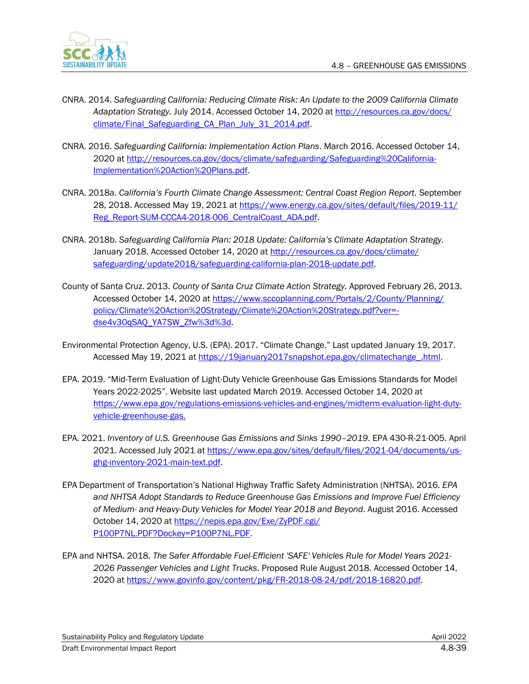

- CNRA. 2014. *Safeguarding California: Reducing Climate Risk: An Update to the 2009 California Climate Adaptation Strategy.* July 2014. Accessed October 14, 2020 at [http://resources.ca.gov/docs/](http://resources.ca.gov/docs/climate/Final_Safeguarding_CA_Plan_July_31_2014.pdf) [climate/Final\\_Safeguarding\\_CA\\_Plan\\_July\\_31\\_2014.pdf.](http://resources.ca.gov/docs/climate/Final_Safeguarding_CA_Plan_July_31_2014.pdf)
- CNRA. 2016. *Safeguarding California: Implementation Action Plans*. March 2016. Accessed October 14, 2020 a[t http://resources.ca.gov/docs/climate/safeguarding/Safeguarding%20California-](http://resources.ca.gov/docs/climate/safeguarding/Safeguarding%20California-Implementation%20Action%20Plans.pdf)[Implementation%20Action%20Plans.pdf.](http://resources.ca.gov/docs/climate/safeguarding/Safeguarding%20California-Implementation%20Action%20Plans.pdf)
- CNRA. 2018a. *California's Fourth Climate Change Assessment: Central Coast Region Report.* September 28, 2018. Accessed May 19, 2021 at [https://www.energy.ca.gov/sites/default/files/2019-11/](https://www.energy.ca.gov/sites/default/files/2019-11/Reg_Report-SUM-CCCA4-2018-006_CentralCoast_ADA.pdf) [Reg\\_Report-SUM-CCCA4-2018-006\\_CentralCoast\\_ADA.pdf.](https://www.energy.ca.gov/sites/default/files/2019-11/Reg_Report-SUM-CCCA4-2018-006_CentralCoast_ADA.pdf)
- CNRA. 2018b. *Safeguarding California Plan: 2018 Update: California's Climate Adaptation Strategy.* January 2018. Accessed October 14, 2020 a[t http://resources.ca.gov/docs/climate/](http://resources.ca.gov/docs/climate/safeguarding/update2018/safeguarding-california-plan-2018-update.pdf) [safeguarding/update2018/safeguarding-california-plan-2018-update.pdf.](http://resources.ca.gov/docs/climate/safeguarding/update2018/safeguarding-california-plan-2018-update.pdf)
- County of Santa Cruz. 2013. *County of Santa Cruz Climate Action Strategy.* Approved February 26, 2013. Accessed October 14, 2020 at [https://www.sccoplanning.com/Portals/2/County/Planning/](https://www.sccoplanning.com/Portals/2/County/Planning/policy/Climate%20Action%20Strategy/Climate%20Action%20Strategy.pdf?ver=-dse4v30qSAQ_YA7SW_Zfw%3d%3d) [policy/Climate%20Action%20Strategy/Climate%20Action%20Strategy.pdf?ver=](https://www.sccoplanning.com/Portals/2/County/Planning/policy/Climate%20Action%20Strategy/Climate%20Action%20Strategy.pdf?ver=-dse4v30qSAQ_YA7SW_Zfw%3d%3d) [dse4v30qSAQ\\_YA7SW\\_Zfw%3d%3d.](https://www.sccoplanning.com/Portals/2/County/Planning/policy/Climate%20Action%20Strategy/Climate%20Action%20Strategy.pdf?ver=-dse4v30qSAQ_YA7SW_Zfw%3d%3d)
- Environmental Protection Agency, U.S. (EPA). 2017. "Climate Change." Last updated January 19, 2017. Accessed May 19, 2021 a[t https://19january2017snapshot.epa.gov/climatechange\\_.html.](https://19january2017snapshot.epa.gov/climatechange_.html)
- EPA. 2019. "Mid-Term Evaluation of Light-Duty Vehicle Greenhouse Gas Emissions Standards for Model Years 2022-2025". Website last updated March 2019. Accessed October 14, 2020 at [https://www.epa.gov/regulations-emissions-vehicles-and-engines/midterm-evaluation-light-duty](https://www.epa.gov/regulations-emissions-vehicles-and-engines/midterm-evaluation-light-duty-vehicle-greenhouse-gas)[vehicle-greenhouse-gas.](https://www.epa.gov/regulations-emissions-vehicles-and-engines/midterm-evaluation-light-duty-vehicle-greenhouse-gas)
- EPA. 2021. *Inventory of U.S. Greenhouse Gas Emissions and Sinks 1990–2019*. EPA 430-R-21-005. April 2021. Accessed July 2021 at [https://www.epa.gov/sites/default/files/2021-04/documents/us](https://www.epa.gov/sites/default/files/2021-04/documents/us-ghg-inventory-2021-main-text.pdf)[ghg-inventory-2021-main-text.pdf.](https://www.epa.gov/sites/default/files/2021-04/documents/us-ghg-inventory-2021-main-text.pdf)
- EPA Department of Transportation's National Highway Traffic Safety Administration (NHTSA). 2016. *EPA and NHTSA Adopt Standards to Reduce Greenhouse Gas Emissions and Improve Fuel Efficiency of Medium- and Heavy-Duty Vehicles for Model Year 2018 and Beyond*. August 2016. Accessed October 14, 2020 a[t https://nepis.epa.gov/Exe/ZyPDF.cgi/](https://nepis.epa.gov/Exe/ZyPDF.cgi/P100P7NL.PDF?Dockey=P100P7NL.PDF) [P100P7NL.PDF?Dockey=P100P7NL.PDF.](https://nepis.epa.gov/Exe/ZyPDF.cgi/P100P7NL.PDF?Dockey=P100P7NL.PDF)
- EPA and NHTSA. 2018. *The Safer Affordable Fuel-Efficient 'SAFE' Vehicles Rule for Model Years 2021- 2026 Passenger Vehicles and Light Trucks*. Proposed Rule August 2018. Accessed October 14, 2020 a[t https://www.govinfo.gov/content/pkg/FR-2018-08-24/pdf/2018-16820.pdf.](https://www.govinfo.gov/content/pkg/FR-2018-08-24/pdf/2018-16820.pdf)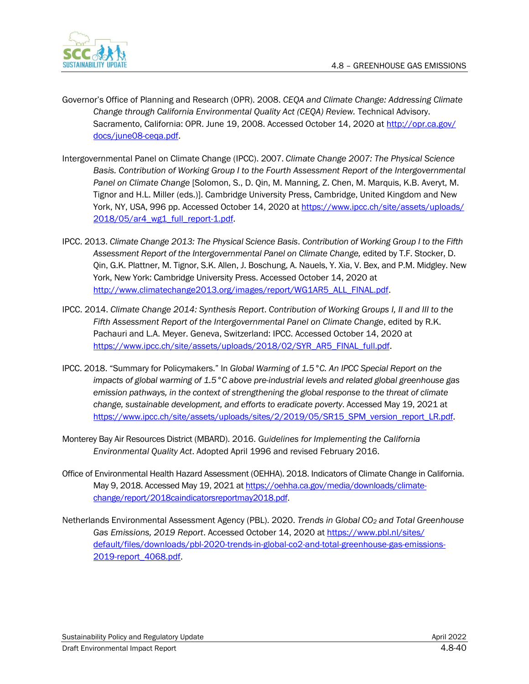

- Governor's Office of Planning and Research (OPR). 2008. *CEQA and Climate Change: Addressing Climate Change through California Environmental Quality Act (CEQA) Review.* Technical Advisory. Sacramento, California: OPR. June 19, 2008. Accessed October 14, 2020 at [http://opr.ca.gov/](http://opr.ca.gov/docs/june08-ceqa.pdf) [docs/june08-ceqa.pdf.](http://opr.ca.gov/docs/june08-ceqa.pdf)
- Intergovernmental Panel on Climate Change (IPCC). 2007. *Climate Change 2007: The Physical Science Basis. Contribution of Working Group I to the Fourth Assessment Report of the Intergovernmental Panel on Climate Change* [Solomon, S., D. Qin, M. Manning, Z. Chen, M. Marquis, K.B. Averyt, M. Tignor and H.L. Miller (eds.)]. Cambridge University Press, Cambridge, United Kingdom and New York, NY, USA, 996 pp. Accessed October 14, 2020 at [https://www.ipcc.ch/site/assets/uploads/](https://www.ipcc.ch/site/assets/uploads/2018/05/ar4_wg1_full_report-1.pdf) 2018/05/ar4\_wg1\_full\_report-1.pdf
- IPCC. 2013. *Climate Change 2013: The Physical Science Basis*. *Contribution of Working Group I to the Fifth Assessment Report of the Intergovernmental Panel on Climate Change,* edited by T.F. Stocker, D. Qin, G.K. Plattner, M. Tignor, S.K. Allen, J. Boschung, A. Nauels, Y. Xia, V. Bex, and P.M. Midgley. New York, New York: Cambridge University Press. Accessed October 14, 2020 at [http://www.climatechange2013.org/images/report/WG1AR5\\_ALL\\_FINAL.pdf.](http://www.climatechange2013.org/images/report/WG1AR5_ALL_FINAL.pdf)
- IPCC. 2014. *Climate Change 2014: Synthesis Report*. *Contribution of Working Groups I, II and III to the Fifth Assessment Report of the Intergovernmental Panel on Climate Change*, edited by R.K. Pachauri and L.A. Meyer. Geneva, Switzerland: IPCC. Accessed October 14, 2020 at [https://www.ipcc.ch/site/assets/uploads/2018/02/SYR\\_AR5\\_FINAL\\_full.pdf.](https://www.ipcc.ch/site/assets/uploads/2018/02/SYR_AR5_FINAL_full.pdf)
- IPCC. 2018. "Summary for Policymakers." In *Global Warming of 1.5°C. An IPCC Special Report on the impacts of global warming of 1.5°C above pre-industrial levels and related global greenhouse gas emission pathways, in the context of strengthening the global response to the threat of climate change, sustainable development, and efforts to eradicate poverty*. Accessed May 19, 2021 at [https://www.ipcc.ch/site/assets/uploads/sites/2/2019/05/SR15\\_SPM\\_version\\_report\\_LR.pdf.](https://www.ipcc.ch/site/assets/uploads/sites/2/2019/05/SR15_SPM_version_report_LR.pdf)
- Monterey Bay Air Resources District (MBARD). 2016. *Guidelines for Implementing the California Environmental Quality Act*. Adopted April 1996 and revised February 2016.
- Office of Environmental Health Hazard Assessment (OEHHA). 2018. Indicators of Climate Change in California. May 9, 2018. Accessed May 19, 2021 a[t https://oehha.ca.gov/media/downloads/climate](https://oehha.ca.gov/media/downloads/climate-change/report/‌2018caindicatorsreportmay2018.pdf)[change/report/2018caindicatorsreportmay2018.pdf.](https://oehha.ca.gov/media/downloads/climate-change/report/‌2018caindicatorsreportmay2018.pdf)
- Netherlands Environmental Assessment Agency (PBL). 2020. *Trends in Global CO<sup>2</sup> and Total Greenhouse Gas Emissions, 2019 Report*. Accessed October 14, 2020 a[t https://www.pbl.nl/sites/](https://www.pbl.nl/sites/default/files/downloads/pbl-2020-trends-in-global-co2-and-total-greenhouse-gas-emissions-2019-report_4068.pdf) [default/files/downloads/pbl-2020-trends-in-global-co2-and-total-greenhouse-gas-emissions-](https://www.pbl.nl/sites/default/files/downloads/pbl-2020-trends-in-global-co2-and-total-greenhouse-gas-emissions-2019-report_4068.pdf)[2019-report\\_4068.pdf.](https://www.pbl.nl/sites/default/files/downloads/pbl-2020-trends-in-global-co2-and-total-greenhouse-gas-emissions-2019-report_4068.pdf)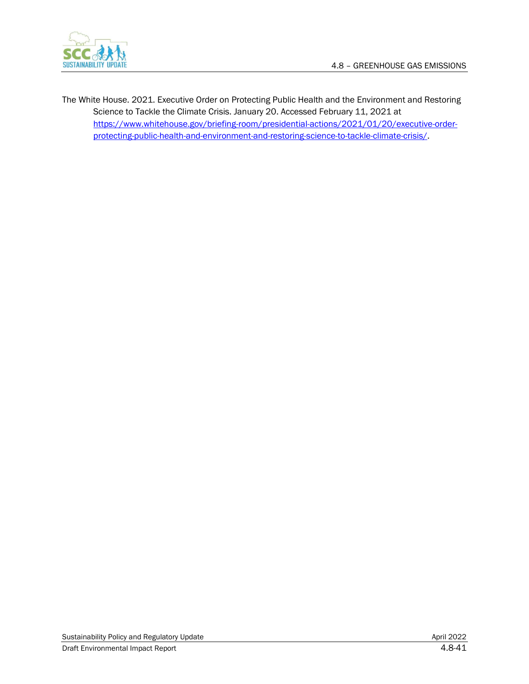

The White House. 2021. Executive Order on Protecting Public Health and the Environment and Restoring Science to Tackle the Climate Crisis. January 20. Accessed February 11, 2021 at [https://www.whitehouse.gov/briefing-room/presidential-actions/2021/01/20/executive-order](https://www.whitehouse.gov/briefing-room/presidential-actions/2021/01/20/executive-order-protecting-public-health-and-environment-and-restoring-science-to-tackle-climate-crisis/)[protecting-public-health-and-environment-and-restoring-science-to-tackle-climate-crisis/.](https://www.whitehouse.gov/briefing-room/presidential-actions/2021/01/20/executive-order-protecting-public-health-and-environment-and-restoring-science-to-tackle-climate-crisis/)